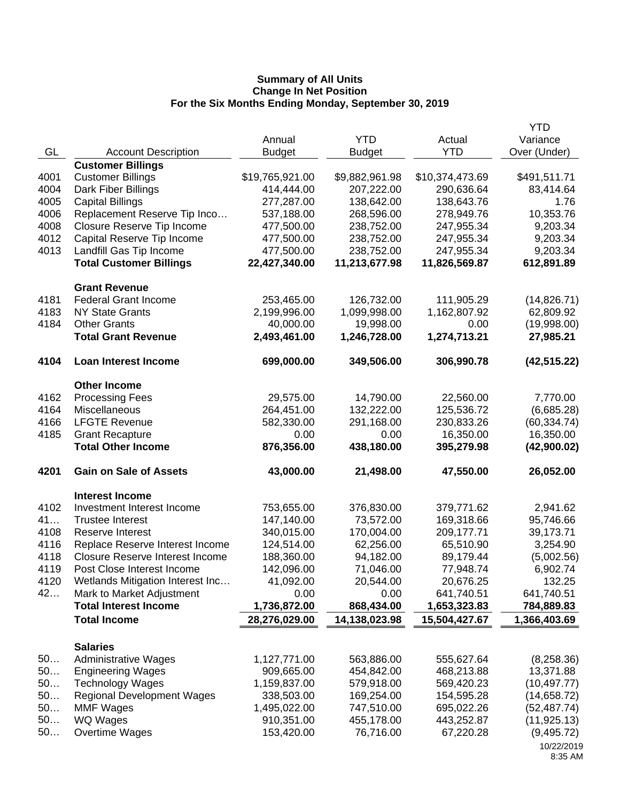|      |                                               |                 |                |                 | <b>YTD</b>            |
|------|-----------------------------------------------|-----------------|----------------|-----------------|-----------------------|
|      |                                               | Annual          | <b>YTD</b>     | Actual          | Variance              |
| GL   | <b>Account Description</b>                    | <b>Budget</b>   | <b>Budget</b>  | <b>YTD</b>      | Over (Under)          |
|      | <b>Customer Billings</b>                      |                 |                |                 |                       |
| 4001 | <b>Customer Billings</b>                      | \$19,765,921.00 | \$9,882,961.98 | \$10,374,473.69 | \$491,511.71          |
| 4004 | Dark Fiber Billings                           | 414,444.00      | 207,222.00     | 290,636.64      | 83,414.64             |
| 4005 | <b>Capital Billings</b>                       | 277,287.00      | 138,642.00     | 138,643.76      | 1.76                  |
| 4006 | Replacement Reserve Tip Inco                  | 537,188.00      | 268,596.00     | 278,949.76      | 10,353.76             |
| 4008 | Closure Reserve Tip Income                    | 477,500.00      | 238,752.00     | 247,955.34      | 9,203.34              |
| 4012 | Capital Reserve Tip Income                    | 477,500.00      | 238,752.00     | 247,955.34      | 9,203.34              |
| 4013 | Landfill Gas Tip Income                       | 477,500.00      | 238,752.00     | 247,955.34      | 9,203.34              |
|      | <b>Total Customer Billings</b>                | 22,427,340.00   | 11,213,677.98  | 11,826,569.87   | 612,891.89            |
|      | <b>Grant Revenue</b>                          |                 |                |                 |                       |
| 4181 | <b>Federal Grant Income</b>                   | 253,465.00      | 126,732.00     | 111,905.29      | (14, 826.71)          |
| 4183 | <b>NY State Grants</b>                        | 2,199,996.00    | 1,099,998.00   | 1,162,807.92    | 62,809.92             |
| 4184 | <b>Other Grants</b>                           | 40,000.00       | 19,998.00      | 0.00            | (19,998.00)           |
|      | <b>Total Grant Revenue</b>                    | 2,493,461.00    | 1,246,728.00   | 1,274,713.21    | 27,985.21             |
| 4104 | <b>Loan Interest Income</b>                   | 699,000.00      | 349,506.00     | 306,990.78      | (42, 515.22)          |
|      |                                               |                 |                |                 |                       |
| 4162 | <b>Other Income</b><br><b>Processing Fees</b> | 29,575.00       | 14,790.00      | 22,560.00       | 7,770.00              |
| 4164 | Miscellaneous                                 | 264,451.00      | 132,222.00     | 125,536.72      | (6,685.28)            |
| 4166 | <b>LFGTE Revenue</b>                          | 582,330.00      | 291,168.00     | 230,833.26      | (60, 334.74)          |
| 4185 | <b>Grant Recapture</b>                        | 0.00            | 0.00           | 16,350.00       | 16,350.00             |
|      | <b>Total Other Income</b>                     | 876,356.00      | 438,180.00     | 395,279.98      | (42,900.02)           |
| 4201 | <b>Gain on Sale of Assets</b>                 | 43,000.00       | 21,498.00      | 47,550.00       | 26,052.00             |
|      |                                               |                 |                |                 |                       |
|      | <b>Interest Income</b>                        |                 |                |                 |                       |
| 4102 | Investment Interest Income                    | 753,655.00      | 376,830.00     | 379,771.62      | 2,941.62              |
| 41   | <b>Trustee Interest</b>                       | 147,140.00      | 73,572.00      | 169,318.66      | 95,746.66             |
| 4108 | Reserve Interest                              | 340,015.00      | 170,004.00     | 209,177.71      | 39,173.71             |
| 4116 | Replace Reserve Interest Income               | 124,514.00      | 62,256.00      | 65,510.90       | 3,254.90              |
| 4118 | <b>Closure Reserve Interest Income</b>        | 188,360.00      | 94,182.00      | 89,179.44       | (5,002.56)            |
| 4119 | Post Close Interest Income                    | 142,096.00      | 71,046.00      | 77,948.74       | 6,902.74              |
| 4120 | Wetlands Mitigation Interest Inc              | 41,092.00       | 20,544.00      | 20,676.25       | 132.25                |
| 42   | Mark to Market Adjustment                     | 0.00            | 0.00           | 641,740.51      | 641,740.51            |
|      | <b>Total Interest Income</b>                  | 1,736,872.00    | 868,434.00     | 1,653,323.83    | 784,889.83            |
|      | <b>Total Income</b>                           | 28,276,029.00   | 14,138,023.98  | 15,504,427.67   | 1,366,403.69          |
|      | <b>Salaries</b>                               |                 |                |                 |                       |
| 50   | <b>Administrative Wages</b>                   | 1,127,771.00    | 563,886.00     | 555,627.64      | (8,258.36)            |
| 50   | <b>Engineering Wages</b>                      | 909,665.00      | 454,842.00     | 468,213.88      | 13,371.88             |
| 50   | <b>Technology Wages</b>                       | 1,159,837.00    | 579,918.00     | 569,420.23      | (10, 497.77)          |
| 50   | <b>Regional Development Wages</b>             | 338,503.00      | 169,254.00     | 154,595.28      | (14, 658.72)          |
| 50   | <b>MMF Wages</b>                              | 1,495,022.00    | 747,510.00     | 695,022.26      | (52, 487.74)          |
| 50   | WQ Wages                                      | 910,351.00      | 455,178.00     | 443,252.87      | (11, 925.13)          |
| 50   | Overtime Wages                                | 153,420.00      | 76,716.00      | 67,220.28       | (9,495.72)            |
|      |                                               |                 |                |                 | 10/22/2019<br>8:35 AM |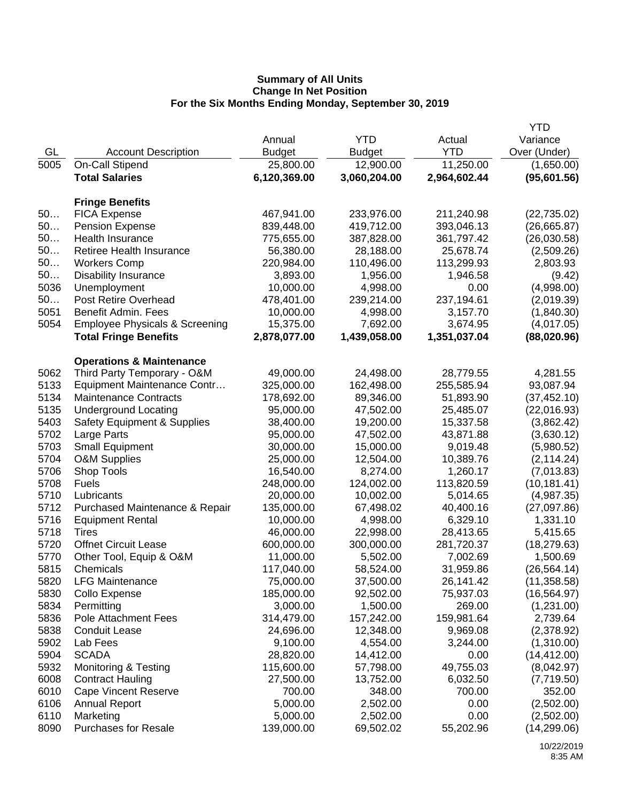|      |                                           |               |               |              | <b>YTD</b>   |
|------|-------------------------------------------|---------------|---------------|--------------|--------------|
|      |                                           | Annual        | <b>YTD</b>    | Actual       | Variance     |
| GL   | <b>Account Description</b>                | <b>Budget</b> | <b>Budget</b> | <b>YTD</b>   | Over (Under) |
| 5005 | On-Call Stipend                           | 25,800.00     | 12,900.00     | 11,250.00    | (1,650.00)   |
|      | <b>Total Salaries</b>                     | 6,120,369.00  | 3,060,204.00  | 2,964,602.44 | (95,601.56)  |
|      |                                           |               |               |              |              |
|      | <b>Fringe Benefits</b>                    |               |               |              |              |
| 50   | <b>FICA Expense</b>                       | 467,941.00    | 233,976.00    | 211,240.98   | (22, 735.02) |
| 50   | <b>Pension Expense</b>                    | 839,448.00    | 419,712.00    | 393,046.13   | (26,665.87)  |
| 50   | Health Insurance                          | 775,655.00    | 387,828.00    | 361,797.42   | (26,030.58)  |
| 50   | Retiree Health Insurance                  | 56,380.00     | 28,188.00     | 25,678.74    | (2,509.26)   |
| 50   | <b>Workers Comp</b>                       | 220,984.00    | 110,496.00    | 113,299.93   | 2,803.93     |
| 50   | <b>Disability Insurance</b>               | 3,893.00      | 1,956.00      | 1,946.58     | (9.42)       |
| 5036 | Unemployment                              | 10,000.00     | 4,998.00      | 0.00         | (4,998.00)   |
| 50   | Post Retire Overhead                      | 478,401.00    | 239,214.00    | 237,194.61   | (2,019.39)   |
| 5051 | Benefit Admin. Fees                       | 10,000.00     | 4,998.00      | 3,157.70     | (1,840.30)   |
| 5054 | <b>Employee Physicals &amp; Screening</b> | 15,375.00     | 7,692.00      | 3,674.95     | (4,017.05)   |
|      | <b>Total Fringe Benefits</b>              | 2,878,077.00  | 1,439,058.00  | 1,351,037.04 | (88,020.96)  |
|      |                                           |               |               |              |              |
|      | <b>Operations &amp; Maintenance</b>       |               |               |              |              |
| 5062 | Third Party Temporary - O&M               | 49,000.00     | 24,498.00     | 28,779.55    | 4,281.55     |
| 5133 | Equipment Maintenance Contr               | 325,000.00    | 162,498.00    | 255,585.94   | 93,087.94    |
| 5134 | <b>Maintenance Contracts</b>              | 178,692.00    | 89,346.00     | 51,893.90    | (37, 452.10) |
| 5135 | <b>Underground Locating</b>               | 95,000.00     | 47,502.00     | 25,485.07    | (22,016.93)  |
| 5403 | Safety Equipment & Supplies               | 38,400.00     | 19,200.00     | 15,337.58    | (3,862.42)   |
| 5702 | Large Parts                               | 95,000.00     | 47,502.00     | 43,871.88    | (3,630.12)   |
| 5703 | <b>Small Equipment</b>                    | 30,000.00     | 15,000.00     | 9,019.48     | (5,980.52)   |
| 5704 | <b>O&amp;M Supplies</b>                   | 25,000.00     | 12,504.00     | 10,389.76    | (2, 114.24)  |
| 5706 | Shop Tools                                | 16,540.00     | 8,274.00      | 1,260.17     | (7,013.83)   |
| 5708 | <b>Fuels</b>                              | 248,000.00    | 124,002.00    | 113,820.59   | (10, 181.41) |
| 5710 | Lubricants                                | 20,000.00     | 10,002.00     | 5,014.65     | (4,987.35)   |
| 5712 | Purchased Maintenance & Repair            | 135,000.00    | 67,498.02     | 40,400.16    | (27,097.86)  |
| 5716 | <b>Equipment Rental</b>                   | 10,000.00     | 4,998.00      | 6,329.10     | 1,331.10     |
| 5718 | Tires                                     | 46,000.00     | 22,998.00     | 28,413.65    | 5,415.65     |
| 5720 | <b>Offnet Circuit Lease</b>               | 600,000.00    | 300,000.00    | 281,720.37   | (18, 279.63) |
| 5770 | Other Tool, Equip & O&M                   | 11,000.00     | 5,502.00      | 7,002.69     | 1,500.69     |
| 5815 | Chemicals                                 | 117,040.00    | 58,524.00     | 31,959.86    | (26, 564.14) |
| 5820 | <b>LFG Maintenance</b>                    | 75,000.00     | 37,500.00     | 26,141.42    | (11, 358.58) |
| 5830 | Collo Expense                             | 185,000.00    | 92,502.00     | 75,937.03    | (16, 564.97) |
| 5834 | Permitting                                | 3,000.00      | 1,500.00      | 269.00       | (1,231.00)   |
| 5836 | Pole Attachment Fees                      | 314,479.00    | 157,242.00    | 159,981.64   | 2,739.64     |
| 5838 | <b>Conduit Lease</b>                      | 24,696.00     | 12,348.00     | 9,969.08     | (2,378.92)   |
| 5902 | Lab Fees                                  | 9,100.00      | 4,554.00      | 3,244.00     | (1,310.00)   |
| 5904 | <b>SCADA</b>                              | 28,820.00     | 14,412.00     | 0.00         | (14, 412.00) |
| 5932 | Monitoring & Testing                      | 115,600.00    | 57,798.00     | 49,755.03    | (8,042.97)   |
| 6008 | <b>Contract Hauling</b>                   | 27,500.00     | 13,752.00     | 6,032.50     | (7,719.50)   |
| 6010 | <b>Cape Vincent Reserve</b>               | 700.00        | 348.00        | 700.00       | 352.00       |
| 6106 | <b>Annual Report</b>                      | 5,000.00      | 2,502.00      | 0.00         | (2,502.00)   |
| 6110 | Marketing                                 | 5,000.00      | 2,502.00      | 0.00         | (2,502.00)   |
| 8090 | <b>Purchases for Resale</b>               | 139,000.00    | 69,502.02     | 55,202.96    | (14, 299.06) |
|      |                                           |               |               |              |              |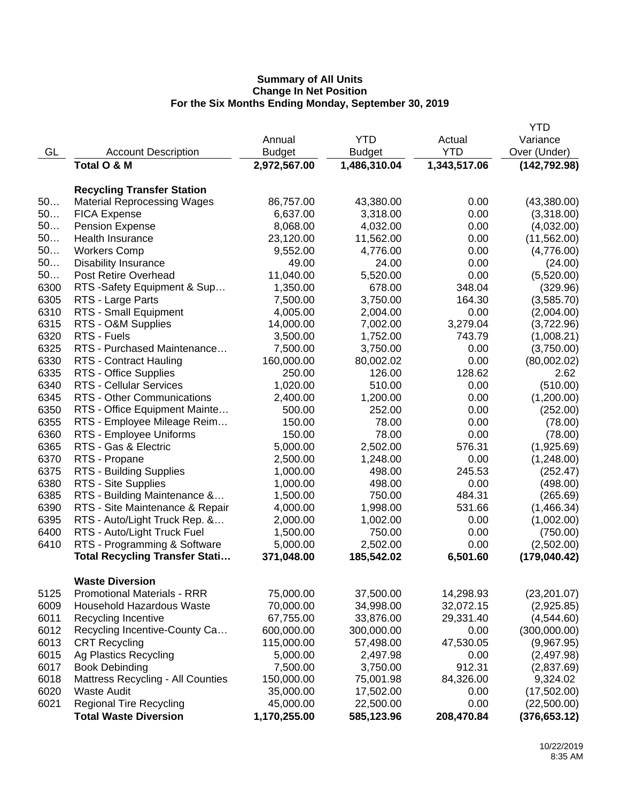|      |                                          |               |               |              | <b>YTD</b>    |
|------|------------------------------------------|---------------|---------------|--------------|---------------|
|      |                                          | Annual        | <b>YTD</b>    | Actual       | Variance      |
| GL   | <b>Account Description</b>               | <b>Budget</b> | <b>Budget</b> | <b>YTD</b>   | Over (Under)  |
|      | Total O & M                              | 2,972,567.00  | 1,486,310.04  | 1,343,517.06 | (142, 792.98) |
|      |                                          |               |               |              |               |
|      | <b>Recycling Transfer Station</b>        |               |               |              |               |
| 50   | <b>Material Reprocessing Wages</b>       | 86,757.00     | 43,380.00     | 0.00         | (43,380.00)   |
| 50   | <b>FICA Expense</b>                      | 6,637.00      | 3,318.00      | 0.00         | (3,318.00)    |
| 50   | <b>Pension Expense</b>                   | 8,068.00      | 4,032.00      | 0.00         | (4,032.00)    |
| 50   | Health Insurance                         | 23,120.00     | 11,562.00     | 0.00         | (11,562.00)   |
| 50   | <b>Workers Comp</b>                      | 9,552.00      | 4,776.00      | 0.00         | (4,776.00)    |
| 50   | <b>Disability Insurance</b>              | 49.00         | 24.00         | 0.00         | (24.00)       |
| 50   | Post Retire Overhead                     | 11,040.00     | 5,520.00      | 0.00         | (5,520.00)    |
| 6300 | RTS -Safety Equipment & Sup              | 1,350.00      | 678.00        | 348.04       | (329.96)      |
| 6305 | RTS - Large Parts                        | 7,500.00      | 3,750.00      | 164.30       | (3,585.70)    |
| 6310 | RTS - Small Equipment                    | 4,005.00      | 2,004.00      | 0.00         | (2,004.00)    |
| 6315 | RTS - O&M Supplies                       | 14,000.00     | 7,002.00      | 3,279.04     | (3,722.96)    |
| 6320 | RTS - Fuels                              | 3,500.00      | 1,752.00      | 743.79       | (1,008.21)    |
| 6325 | RTS - Purchased Maintenance              | 7,500.00      | 3,750.00      | 0.00         | (3,750.00)    |
| 6330 | RTS - Contract Hauling                   | 160,000.00    | 80,002.02     | 0.00         | (80,002.02)   |
| 6335 | RTS - Office Supplies                    | 250.00        | 126.00        | 128.62       | 2.62          |
| 6340 | <b>RTS - Cellular Services</b>           | 1,020.00      | 510.00        | 0.00         | (510.00)      |
| 6345 | RTS - Other Communications               | 2,400.00      | 1,200.00      | 0.00         | (1,200.00)    |
| 6350 | RTS - Office Equipment Mainte            | 500.00        | 252.00        | 0.00         | (252.00)      |
| 6355 | RTS - Employee Mileage Reim              | 150.00        | 78.00         | 0.00         | (78.00)       |
| 6360 | RTS - Employee Uniforms                  | 150.00        | 78.00         | 0.00         | (78.00)       |
| 6365 | RTS - Gas & Electric                     | 5,000.00      | 2,502.00      | 576.31       | (1,925.69)    |
| 6370 | RTS - Propane                            | 2,500.00      | 1,248.00      | 0.00         | (1,248.00)    |
| 6375 | <b>RTS - Building Supplies</b>           | 1,000.00      | 498.00        | 245.53       | (252.47)      |
| 6380 | RTS - Site Supplies                      | 1,000.00      | 498.00        | 0.00         | (498.00)      |
| 6385 | RTS - Building Maintenance &             | 1,500.00      | 750.00        | 484.31       | (265.69)      |
| 6390 | RTS - Site Maintenance & Repair          | 4,000.00      | 1,998.00      | 531.66       | (1,466.34)    |
| 6395 | RTS - Auto/Light Truck Rep. &            | 2,000.00      | 1,002.00      | 0.00         | (1,002.00)    |
| 6400 | RTS - Auto/Light Truck Fuel              | 1,500.00      | 750.00        | 0.00         | (750.00)      |
| 6410 | RTS - Programming & Software             | 5,000.00      | 2,502.00      | 0.00         | (2,502.00)    |
|      | <b>Total Recycling Transfer Stati</b>    | 371,048.00    | 185,542.02    | 6,501.60     | (179, 040.42) |
|      |                                          |               |               |              |               |
|      | <b>Waste Diversion</b>                   |               |               |              |               |
| 5125 | <b>Promotional Materials - RRR</b>       | 75,000.00     | 37,500.00     | 14,298.93    | (23, 201.07)  |
| 6009 | Household Hazardous Waste                | 70,000.00     | 34,998.00     | 32,072.15    | (2,925.85)    |
| 6011 | Recycling Incentive                      | 67,755.00     | 33,876.00     | 29,331.40    | (4,544.60)    |
| 6012 | Recycling Incentive-County Ca            | 600,000.00    | 300,000.00    | 0.00         | (300,000.00)  |
| 6013 | <b>CRT Recycling</b>                     | 115,000.00    | 57,498.00     | 47,530.05    | (9,967.95)    |
| 6015 | Ag Plastics Recycling                    | 5,000.00      | 2,497.98      | 0.00         | (2,497.98)    |
| 6017 | <b>Book Debinding</b>                    | 7,500.00      | 3,750.00      | 912.31       | (2,837.69)    |
| 6018 | <b>Mattress Recycling - All Counties</b> | 150,000.00    | 75,001.98     | 84,326.00    | 9,324.02      |
| 6020 | <b>Waste Audit</b>                       | 35,000.00     | 17,502.00     | 0.00         | (17,502.00)   |
| 6021 | <b>Regional Tire Recycling</b>           | 45,000.00     | 22,500.00     | 0.00         | (22,500.00)   |
|      | <b>Total Waste Diversion</b>             | 1,170,255.00  | 585,123.96    | 208,470.84   | (376, 653.12) |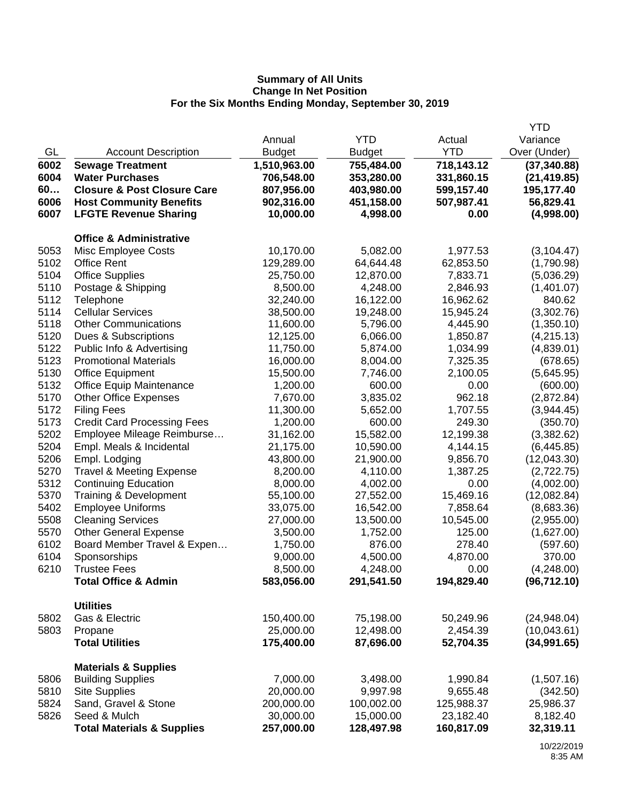|      |                                        |               |               |            | <b>YTD</b>   |
|------|----------------------------------------|---------------|---------------|------------|--------------|
|      |                                        | Annual        | <b>YTD</b>    | Actual     | Variance     |
| GL   | <b>Account Description</b>             | <b>Budget</b> | <b>Budget</b> | <b>YTD</b> | Over (Under) |
| 6002 | <b>Sewage Treatment</b>                | 1,510,963.00  | 755,484.00    | 718,143.12 | (37, 340.88) |
| 6004 | <b>Water Purchases</b>                 | 706,548.00    | 353,280.00    | 331,860.15 | (21, 419.85) |
| 60   | <b>Closure &amp; Post Closure Care</b> | 807,956.00    | 403,980.00    | 599,157.40 | 195,177.40   |
| 6006 | <b>Host Community Benefits</b>         | 902,316.00    | 451,158.00    | 507,987.41 | 56,829.41    |
| 6007 | <b>LFGTE Revenue Sharing</b>           | 10,000.00     | 4,998.00      | 0.00       | (4,998.00)   |
|      | <b>Office &amp; Administrative</b>     |               |               |            |              |
| 5053 | <b>Misc Employee Costs</b>             | 10,170.00     | 5,082.00      | 1,977.53   | (3, 104.47)  |
| 5102 | <b>Office Rent</b>                     | 129,289.00    | 64,644.48     | 62,853.50  | (1,790.98)   |
| 5104 | <b>Office Supplies</b>                 | 25,750.00     | 12,870.00     | 7,833.71   | (5,036.29)   |
| 5110 | Postage & Shipping                     | 8,500.00      | 4,248.00      | 2,846.93   | (1,401.07)   |
| 5112 | Telephone                              | 32,240.00     | 16,122.00     | 16,962.62  | 840.62       |
| 5114 | <b>Cellular Services</b>               | 38,500.00     | 19,248.00     | 15,945.24  | (3,302.76)   |
| 5118 | <b>Other Communications</b>            | 11,600.00     | 5,796.00      | 4,445.90   | (1,350.10)   |
| 5120 | Dues & Subscriptions                   | 12,125.00     | 6,066.00      | 1,850.87   | (4, 215.13)  |
| 5122 | Public Info & Advertising              | 11,750.00     | 5,874.00      | 1,034.99   | (4,839.01)   |
| 5123 | <b>Promotional Materials</b>           | 16,000.00     | 8,004.00      | 7,325.35   | (678.65)     |
| 5130 | <b>Office Equipment</b>                | 15,500.00     | 7,746.00      | 2,100.05   | (5,645.95)   |
| 5132 | <b>Office Equip Maintenance</b>        | 1,200.00      | 600.00        | 0.00       | (600.00)     |
| 5170 | <b>Other Office Expenses</b>           | 7,670.00      | 3,835.02      | 962.18     | (2,872.84)   |
| 5172 | <b>Filing Fees</b>                     | 11,300.00     | 5,652.00      | 1,707.55   | (3,944.45)   |
| 5173 | <b>Credit Card Processing Fees</b>     | 1,200.00      | 600.00        | 249.30     | (350.70)     |
| 5202 | Employee Mileage Reimburse             | 31,162.00     | 15,582.00     | 12,199.38  | (3,382.62)   |
| 5204 | Empl. Meals & Incidental               | 21,175.00     | 10,590.00     | 4,144.15   | (6, 445.85)  |
| 5206 | Empl. Lodging                          | 43,800.00     | 21,900.00     | 9,856.70   | (12,043.30)  |
| 5270 | <b>Travel &amp; Meeting Expense</b>    | 8,200.00      | 4,110.00      | 1,387.25   | (2,722.75)   |
| 5312 | <b>Continuing Education</b>            | 8,000.00      | 4,002.00      | 0.00       | (4,002.00)   |
| 5370 | Training & Development                 | 55,100.00     | 27,552.00     | 15,469.16  | (12,082.84)  |
| 5402 | <b>Employee Uniforms</b>               | 33,075.00     | 16,542.00     | 7,858.64   | (8,683.36)   |
| 5508 | <b>Cleaning Services</b>               | 27,000.00     | 13,500.00     | 10,545.00  | (2,955.00)   |
| 5570 | <b>Other General Expense</b>           | 3,500.00      | 1,752.00      | 125.00     | (1,627.00)   |
| 6102 | Board Member Travel & Expen            | 1,750.00      | 876.00        | 278.40     | (597.60)     |
| 6104 | Sponsorships                           | 9,000.00      | 4,500.00      | 4,870.00   | 370.00       |
| 6210 | <b>Trustee Fees</b>                    | 8,500.00      | 4,248.00      | 0.00       | (4,248.00)   |
|      | <b>Total Office &amp; Admin</b>        | 583,056.00    | 291,541.50    | 194,829.40 | (96, 712.10) |
|      | <b>Utilities</b>                       |               |               |            |              |
| 5802 | Gas & Electric                         | 150,400.00    | 75,198.00     | 50,249.96  | (24,948.04)  |
| 5803 | Propane                                | 25,000.00     | 12,498.00     | 2,454.39   | (10,043.61)  |
|      | <b>Total Utilities</b>                 | 175,400.00    | 87,696.00     | 52,704.35  | (34, 991.65) |
|      | <b>Materials &amp; Supplies</b>        |               |               |            |              |
| 5806 | <b>Building Supplies</b>               | 7,000.00      | 3,498.00      | 1,990.84   | (1,507.16)   |
| 5810 | <b>Site Supplies</b>                   | 20,000.00     | 9,997.98      | 9,655.48   | (342.50)     |
| 5824 | Sand, Gravel & Stone                   | 200,000.00    | 100,002.00    | 125,988.37 | 25,986.37    |
| 5826 | Seed & Mulch                           | 30,000.00     | 15,000.00     | 23,182.40  | 8,182.40     |
|      | <b>Total Materials &amp; Supplies</b>  | 257,000.00    | 128,497.98    | 160,817.09 | 32,319.11    |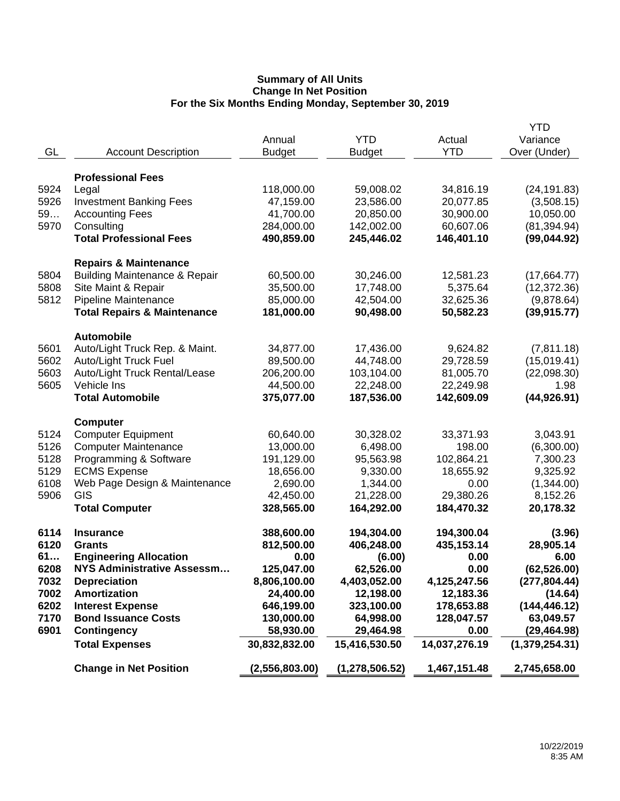|      |                                          | Annual         | <b>YTD</b>       | Actual        | YTD<br>Variance |
|------|------------------------------------------|----------------|------------------|---------------|-----------------|
| GL   | <b>Account Description</b>               | <b>Budget</b>  | <b>Budget</b>    | <b>YTD</b>    | Over (Under)    |
|      |                                          |                |                  |               |                 |
|      | <b>Professional Fees</b>                 |                |                  |               |                 |
| 5924 | Legal                                    | 118,000.00     | 59,008.02        | 34,816.19     | (24, 191.83)    |
| 5926 | <b>Investment Banking Fees</b>           | 47,159.00      | 23,586.00        | 20,077.85     | (3,508.15)      |
| 59   | <b>Accounting Fees</b>                   | 41,700.00      | 20,850.00        | 30,900.00     | 10,050.00       |
| 5970 | Consulting                               | 284,000.00     | 142,002.00       | 60,607.06     | (81, 394.94)    |
|      | <b>Total Professional Fees</b>           | 490,859.00     | 245,446.02       | 146,401.10    | (99,044.92)     |
|      | <b>Repairs &amp; Maintenance</b>         |                |                  |               |                 |
| 5804 | <b>Building Maintenance &amp; Repair</b> | 60,500.00      | 30,246.00        | 12,581.23     | (17,664.77)     |
| 5808 | Site Maint & Repair                      | 35,500.00      | 17,748.00        | 5,375.64      | (12, 372.36)    |
| 5812 | Pipeline Maintenance                     | 85,000.00      | 42,504.00        | 32,625.36     | (9,878.64)      |
|      | <b>Total Repairs &amp; Maintenance</b>   | 181,000.00     | 90,498.00        | 50,582.23     | (39, 915.77)    |
|      | <b>Automobile</b>                        |                |                  |               |                 |
| 5601 | Auto/Light Truck Rep. & Maint.           | 34,877.00      | 17,436.00        | 9,624.82      | (7,811.18)      |
| 5602 | Auto/Light Truck Fuel                    | 89,500.00      | 44,748.00        | 29,728.59     | (15,019.41)     |
| 5603 | Auto/Light Truck Rental/Lease            | 206,200.00     | 103,104.00       | 81,005.70     | (22,098.30)     |
| 5605 | Vehicle Ins                              | 44,500.00      | 22,248.00        | 22,249.98     | 1.98            |
|      | <b>Total Automobile</b>                  | 375,077.00     | 187,536.00       | 142,609.09    | (44, 926.91)    |
|      | <b>Computer</b>                          |                |                  |               |                 |
| 5124 | <b>Computer Equipment</b>                | 60,640.00      | 30,328.02        | 33,371.93     | 3,043.91        |
| 5126 | <b>Computer Maintenance</b>              | 13,000.00      | 6,498.00         | 198.00        | (6,300.00)      |
| 5128 | Programming & Software                   | 191,129.00     | 95,563.98        | 102,864.21    | 7,300.23        |
| 5129 | <b>ECMS Expense</b>                      | 18,656.00      | 9,330.00         | 18,655.92     | 9,325.92        |
| 6108 | Web Page Design & Maintenance            | 2,690.00       | 1,344.00         | 0.00          | (1,344.00)      |
| 5906 | GIS                                      | 42,450.00      | 21,228.00        | 29,380.26     | 8,152.26        |
|      | <b>Total Computer</b>                    | 328,565.00     | 164,292.00       | 184,470.32    | 20,178.32       |
| 6114 | <b>Insurance</b>                         | 388,600.00     | 194,304.00       | 194,300.04    | (3.96)          |
| 6120 | <b>Grants</b>                            | 812,500.00     | 406,248.00       | 435,153.14    | 28,905.14       |
| 61   | <b>Engineering Allocation</b>            | 0.00           | (6.00)           | 0.00          | 6.00            |
| 6208 | <b>NYS Administrative Assessm</b>        | 125,047.00     | 62,526.00        | 0.00          | (62, 526.00)    |
| 7032 | <b>Depreciation</b>                      | 8,806,100.00   | 4,403,052.00     | 4,125,247.56  | (277, 804.44)   |
| 7002 | <b>Amortization</b>                      | 24,400.00      | 12,198.00        | 12,183.36     | (14.64)         |
| 6202 | <b>Interest Expense</b>                  | 646,199.00     | 323,100.00       | 178,653.88    | (144, 446.12)   |
| 7170 | <b>Bond Issuance Costs</b>               | 130,000.00     | 64,998.00        | 128,047.57    | 63,049.57       |
| 6901 | <b>Contingency</b>                       | 58,930.00      | 29,464.98        | 0.00          | (29, 464.98)    |
|      | <b>Total Expenses</b>                    | 30,832,832.00  | 15,416,530.50    | 14,037,276.19 | (1,379,254.31)  |
|      | <b>Change in Net Position</b>            | (2,556,803.00) | (1, 278, 506.52) | 1,467,151.48  | 2,745,658.00    |
|      |                                          |                |                  |               |                 |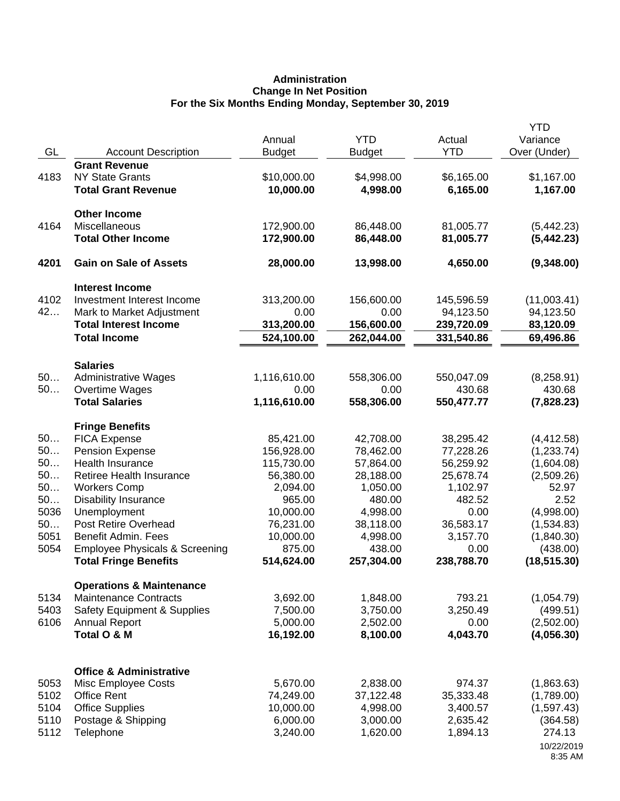# **Administration Change In Net Position For the Six Months Ending Monday, September 30, 2019**

| GL           | <b>Account Description</b>                          | Annual<br><b>Budget</b>  | <b>YTD</b><br><b>Budget</b> | Actual<br><b>YTD</b>     | <b>YTD</b><br>Variance<br>Over (Under) |
|--------------|-----------------------------------------------------|--------------------------|-----------------------------|--------------------------|----------------------------------------|
|              | <b>Grant Revenue</b>                                |                          |                             |                          |                                        |
| 4183         | <b>NY State Grants</b>                              | \$10,000.00              | \$4,998.00                  | \$6,165.00               | \$1,167.00                             |
|              | <b>Total Grant Revenue</b>                          | 10,000.00                | 4,998.00                    | 6,165.00                 | 1,167.00                               |
|              | <b>Other Income</b>                                 |                          |                             |                          |                                        |
| 4164         | Miscellaneous                                       | 172,900.00               | 86,448.00                   | 81,005.77                | (5,442.23)                             |
|              | <b>Total Other Income</b>                           | 172,900.00               | 86,448.00                   | 81,005.77                | (5,442.23)                             |
| 4201         | <b>Gain on Sale of Assets</b>                       | 28,000.00                | 13,998.00                   | 4,650.00                 | (9,348.00)                             |
|              | <b>Interest Income</b>                              |                          |                             |                          |                                        |
| 4102         | Investment Interest Income                          | 313,200.00               | 156,600.00                  | 145,596.59               | (11,003.41)                            |
| 42           | Mark to Market Adjustment                           | 0.00                     | 0.00                        | 94,123.50                | 94,123.50                              |
|              | <b>Total Interest Income</b><br><b>Total Income</b> | 313,200.00<br>524,100.00 | 156,600.00<br>262,044.00    | 239,720.09<br>331,540.86 | 83,120.09<br>69,496.86                 |
|              |                                                     |                          |                             |                          |                                        |
|              | <b>Salaries</b>                                     |                          |                             |                          |                                        |
| 50           | <b>Administrative Wages</b>                         | 1,116,610.00             | 558,306.00                  | 550,047.09               | (8,258.91)                             |
| 50           | Overtime Wages<br><b>Total Salaries</b>             | 0.00                     | 0.00                        | 430.68                   | 430.68                                 |
|              |                                                     | 1,116,610.00             | 558,306.00                  | 550,477.77               | (7,828.23)                             |
|              | <b>Fringe Benefits</b>                              |                          |                             |                          |                                        |
| 50           | <b>FICA Expense</b>                                 | 85,421.00                | 42,708.00                   | 38,295.42                | (4, 412.58)                            |
| 50           | <b>Pension Expense</b>                              | 156,928.00               | 78,462.00                   | 77,228.26                | (1,233.74)                             |
| 50<br>50     | Health Insurance<br>Retiree Health Insurance        | 115,730.00<br>56,380.00  | 57,864.00<br>28,188.00      | 56,259.92<br>25,678.74   | (1,604.08)                             |
| 50           | <b>Workers Comp</b>                                 | 2,094.00                 | 1,050.00                    | 1,102.97                 | (2,509.26)<br>52.97                    |
| 50           | <b>Disability Insurance</b>                         | 965.00                   | 480.00                      | 482.52                   | 2.52                                   |
| 5036         | Unemployment                                        | 10,000.00                | 4,998.00                    | 0.00                     | (4,998.00)                             |
| 50           | Post Retire Overhead                                | 76,231.00                | 38,118.00                   | 36,583.17                | (1,534.83)                             |
| 5051         | Benefit Admin. Fees                                 | 10,000.00                | 4,998.00                    | 3,157.70                 | (1,840.30)                             |
| 5054         | <b>Employee Physicals &amp; Screening</b>           | 875.00                   | 438.00                      | 0.00                     | (438.00)                               |
|              | <b>Total Fringe Benefits</b>                        | 514,624.00               | 257,304.00                  | 238,788.70               | (18, 515.30)                           |
|              | <b>Operations &amp; Maintenance</b>                 |                          |                             |                          |                                        |
| 5134         | <b>Maintenance Contracts</b>                        | 3,692.00                 | 1,848.00                    | 793.21                   | (1,054.79)                             |
| 5403         | <b>Safety Equipment &amp; Supplies</b>              | 7,500.00                 | 3,750.00                    | 3,250.49                 | (499.51)                               |
| 6106         | <b>Annual Report</b>                                | 5,000.00                 | 2,502.00                    | 0.00                     | (2,502.00)                             |
|              | Total O & M                                         | 16,192.00                | 8,100.00                    | 4,043.70                 | (4,056.30)                             |
|              |                                                     |                          |                             |                          |                                        |
|              | <b>Office &amp; Administrative</b>                  |                          |                             |                          |                                        |
| 5053         | Misc Employee Costs                                 | 5,670.00                 | 2,838.00                    | 974.37                   | (1,863.63)                             |
| 5102<br>5104 | <b>Office Rent</b><br><b>Office Supplies</b>        | 74,249.00<br>10,000.00   | 37,122.48<br>4,998.00       | 35,333.48<br>3,400.57    | (1,789.00)<br>(1,597.43)               |
| 5110         | Postage & Shipping                                  | 6,000.00                 | 3,000.00                    | 2,635.42                 | (364.58)                               |
| 5112         | Telephone                                           | 3,240.00                 | 1,620.00                    | 1,894.13                 | 274.13                                 |
|              |                                                     |                          |                             |                          | 10/22/2019                             |
|              |                                                     |                          |                             |                          | 8:35 AM                                |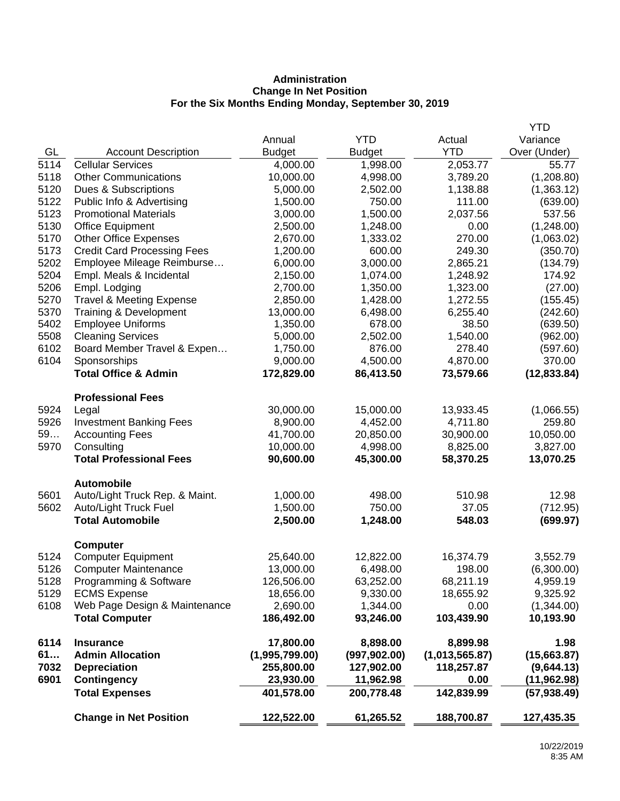# **Administration Change In Net Position For the Six Months Ending Monday, September 30, 2019**

|      |                                     |                |               |                | <b>YTD</b>   |
|------|-------------------------------------|----------------|---------------|----------------|--------------|
|      |                                     | Annual         | <b>YTD</b>    | Actual         | Variance     |
| GL   | <b>Account Description</b>          | <b>Budget</b>  | <b>Budget</b> | <b>YTD</b>     | Over (Under) |
| 5114 | <b>Cellular Services</b>            | 4,000.00       | 1,998.00      | 2,053.77       | 55.77        |
| 5118 | <b>Other Communications</b>         | 10,000.00      | 4,998.00      | 3,789.20       | (1,208.80)   |
| 5120 | Dues & Subscriptions                | 5,000.00       | 2,502.00      | 1,138.88       | (1,363.12)   |
| 5122 | Public Info & Advertising           | 1,500.00       | 750.00        | 111.00         | (639.00)     |
| 5123 | <b>Promotional Materials</b>        | 3,000.00       | 1,500.00      | 2,037.56       | 537.56       |
| 5130 | <b>Office Equipment</b>             | 2,500.00       | 1,248.00      | 0.00           | (1,248.00)   |
| 5170 | <b>Other Office Expenses</b>        | 2,670.00       | 1,333.02      | 270.00         | (1,063.02)   |
| 5173 | <b>Credit Card Processing Fees</b>  | 1,200.00       | 600.00        | 249.30         | (350.70)     |
| 5202 | Employee Mileage Reimburse          | 6,000.00       | 3,000.00      | 2,865.21       | (134.79)     |
| 5204 | Empl. Meals & Incidental            | 2,150.00       | 1,074.00      | 1,248.92       | 174.92       |
| 5206 | Empl. Lodging                       | 2,700.00       | 1,350.00      | 1,323.00       | (27.00)      |
| 5270 | <b>Travel &amp; Meeting Expense</b> | 2,850.00       | 1,428.00      | 1,272.55       | (155.45)     |
| 5370 | Training & Development              | 13,000.00      | 6,498.00      | 6,255.40       | (242.60)     |
| 5402 | <b>Employee Uniforms</b>            | 1,350.00       | 678.00        | 38.50          | (639.50)     |
| 5508 | <b>Cleaning Services</b>            | 5,000.00       | 2,502.00      | 1,540.00       | (962.00)     |
| 6102 | Board Member Travel & Expen         | 1,750.00       | 876.00        | 278.40         | (597.60)     |
| 6104 | Sponsorships                        | 9,000.00       | 4,500.00      | 4,870.00       | 370.00       |
|      | <b>Total Office &amp; Admin</b>     | 172,829.00     | 86,413.50     | 73,579.66      | (12, 833.84) |
|      | <b>Professional Fees</b>            |                |               |                |              |
| 5924 | Legal                               | 30,000.00      | 15,000.00     | 13,933.45      | (1,066.55)   |
| 5926 | <b>Investment Banking Fees</b>      | 8,900.00       | 4,452.00      | 4,711.80       | 259.80       |
| 59   | <b>Accounting Fees</b>              | 41,700.00      | 20,850.00     | 30,900.00      | 10,050.00    |
| 5970 | Consulting                          | 10,000.00      | 4,998.00      | 8,825.00       | 3,827.00     |
|      | <b>Total Professional Fees</b>      | 90,600.00      | 45,300.00     | 58,370.25      | 13,070.25    |
|      | <b>Automobile</b>                   |                |               |                |              |
| 5601 | Auto/Light Truck Rep. & Maint.      | 1,000.00       | 498.00        | 510.98         | 12.98        |
| 5602 | Auto/Light Truck Fuel               | 1,500.00       | 750.00        | 37.05          | (712.95)     |
|      | <b>Total Automobile</b>             | 2,500.00       | 1,248.00      | 548.03         | (699.97)     |
|      | <b>Computer</b>                     |                |               |                |              |
| 5124 | <b>Computer Equipment</b>           | 25,640.00      | 12,822.00     | 16,374.79      | 3,552.79     |
| 5126 | <b>Computer Maintenance</b>         | 13,000.00      | 6,498.00      | 198.00         | (6,300.00)   |
| 5128 | Programming & Software              | 126,506.00     | 63,252.00     | 68,211.19      | 4,959.19     |
| 5129 | <b>ECMS Expense</b>                 | 18,656.00      | 9,330.00      | 18,655.92      | 9,325.92     |
| 6108 | Web Page Design & Maintenance       | 2,690.00       | 1,344.00      | 0.00           | (1,344.00)   |
|      | <b>Total Computer</b>               | 186,492.00     | 93,246.00     | 103,439.90     | 10,193.90    |
| 6114 | <b>Insurance</b>                    | 17,800.00      | 8,898.00      | 8,899.98       | 1.98         |
| 61   | <b>Admin Allocation</b>             | (1,995,799.00) | (997, 902.00) | (1,013,565.87) | (15,663.87)  |
| 7032 | <b>Depreciation</b>                 | 255,800.00     | 127,902.00    | 118,257.87     | (9,644.13)   |
| 6901 | <b>Contingency</b>                  | 23,930.00      | 11,962.98     | 0.00           | (11,962.98)  |
|      | <b>Total Expenses</b>               | 401,578.00     | 200,778.48    | 142,839.99     | (57, 938.49) |
|      | <b>Change in Net Position</b>       | 122,522.00     | 61,265.52     | 188,700.87     | 127,435.35   |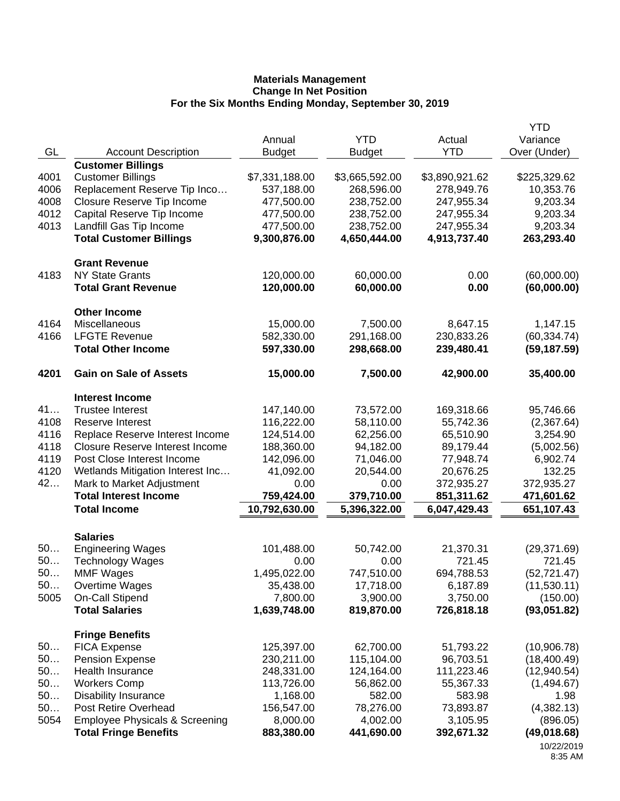|            |                                                                           |                        |                        |                        | <b>YTD</b>              |
|------------|---------------------------------------------------------------------------|------------------------|------------------------|------------------------|-------------------------|
|            |                                                                           | Annual                 | <b>YTD</b>             | Actual                 | Variance                |
| GL         | <b>Account Description</b>                                                | <b>Budget</b>          | <b>Budget</b>          | <b>YTD</b>             | Over (Under)            |
|            | <b>Customer Billings</b>                                                  |                        |                        |                        |                         |
| 4001       | <b>Customer Billings</b>                                                  | \$7,331,188.00         | \$3,665,592.00         | \$3,890,921.62         | \$225,329.62            |
| 4006       | Replacement Reserve Tip Inco                                              | 537,188.00             | 268,596.00             | 278,949.76             | 10,353.76               |
| 4008       | Closure Reserve Tip Income                                                | 477,500.00             | 238,752.00             | 247,955.34             | 9,203.34                |
| 4012       | Capital Reserve Tip Income                                                | 477,500.00             | 238,752.00             | 247,955.34             | 9,203.34                |
| 4013       | Landfill Gas Tip Income                                                   | 477,500.00             | 238,752.00             | 247,955.34             | 9,203.34                |
|            | <b>Total Customer Billings</b>                                            | 9,300,876.00           | 4,650,444.00           | 4,913,737.40           | 263,293.40              |
|            | <b>Grant Revenue</b>                                                      |                        |                        |                        |                         |
| 4183       | <b>NY State Grants</b>                                                    | 120,000.00             | 60,000.00              | 0.00                   | (60,000.00)             |
|            | <b>Total Grant Revenue</b>                                                | 120,000.00             | 60,000.00              | 0.00                   | (60,000.00)             |
|            | <b>Other Income</b>                                                       |                        |                        |                        |                         |
| 4164       | Miscellaneous                                                             | 15,000.00              | 7,500.00               | 8,647.15               | 1,147.15                |
| 4166       | <b>LFGTE Revenue</b>                                                      | 582,330.00             | 291,168.00             | 230,833.26             | (60, 334.74)            |
|            | <b>Total Other Income</b>                                                 | 597,330.00             | 298,668.00             | 239,480.41             | (59, 187.59)            |
|            |                                                                           |                        |                        |                        |                         |
| 4201       | <b>Gain on Sale of Assets</b>                                             | 15,000.00              | 7,500.00               | 42,900.00              | 35,400.00               |
|            | <b>Interest Income</b>                                                    |                        |                        |                        |                         |
| 41         | <b>Trustee Interest</b>                                                   | 147,140.00             | 73,572.00              | 169,318.66             | 95,746.66               |
| 4108       | Reserve Interest                                                          | 116,222.00             | 58,110.00              | 55,742.36              | (2,367.64)              |
| 4116       | Replace Reserve Interest Income                                           | 124,514.00             | 62,256.00              | 65,510.90              | 3,254.90                |
| 4118       | <b>Closure Reserve Interest Income</b>                                    | 188,360.00             | 94,182.00              | 89,179.44              | (5,002.56)              |
| 4119       | Post Close Interest Income                                                | 142,096.00             | 71,046.00              | 77,948.74              | 6,902.74                |
| 4120       | Wetlands Mitigation Interest Inc                                          | 41,092.00              | 20,544.00              | 20,676.25              | 132.25                  |
| 42         | Mark to Market Adjustment                                                 | 0.00                   | 0.00                   | 372,935.27             | 372,935.27              |
|            | <b>Total Interest Income</b>                                              | 759,424.00             | 379,710.00             | 851,311.62             | 471,601.62              |
|            | <b>Total Income</b>                                                       | 10,792,630.00          | 5,396,322.00           | 6,047,429.43           | 651,107.43              |
|            |                                                                           |                        |                        |                        |                         |
| 50         | <b>Salaries</b><br><b>Engineering Wages</b>                               | 101,488.00             | 50,742.00              | 21,370.31              | (29, 371.69)            |
| 50         | <b>Technology Wages</b>                                                   | 0.00                   | 0.00                   | 721.45                 | 721.45                  |
| 50.        | <b>MMF Wages</b>                                                          | 1,495,022.00           | 747,510.00             | 694,788.53             | (52, 721.47)            |
| 50         | Overtime Wages                                                            | 35,438.00              | 17,718.00              | 6,187.89               | (11,530.11)             |
| 5005       | <b>On-Call Stipend</b>                                                    | 7,800.00               | 3,900.00               | 3,750.00               | (150.00)                |
|            | <b>Total Salaries</b>                                                     | 1,639,748.00           | 819,870.00             | 726,818.18             | (93,051.82)             |
|            |                                                                           |                        |                        |                        |                         |
|            | <b>Fringe Benefits</b>                                                    |                        |                        |                        |                         |
| 50         | <b>FICA Expense</b>                                                       | 125,397.00             | 62,700.00              | 51,793.22              | (10,906.78)             |
| 50         | Pension Expense                                                           | 230,211.00             | 115,104.00             | 96,703.51              | (18,400.49)             |
| 50         | Health Insurance                                                          | 248,331.00             | 124,164.00             | 111,223.46             | (12,940.54)             |
| 50         | <b>Workers Comp</b>                                                       | 113,726.00             | 56,862.00              | 55,367.33              | (1,494.67)              |
| 50         | <b>Disability Insurance</b><br>Post Retire Overhead                       | 1,168.00               | 582.00                 | 583.98                 | 1.98                    |
| 50<br>5054 |                                                                           | 156,547.00             | 78,276.00              | 73,893.87              | (4,382.13)              |
|            | <b>Employee Physicals &amp; Screening</b><br><b>Total Fringe Benefits</b> | 8,000.00<br>883,380.00 | 4,002.00<br>441,690.00 | 3,105.95<br>392,671.32 | (896.05)<br>(49,018.68) |
|            |                                                                           |                        |                        |                        | 10/22/2019              |
|            |                                                                           |                        |                        |                        |                         |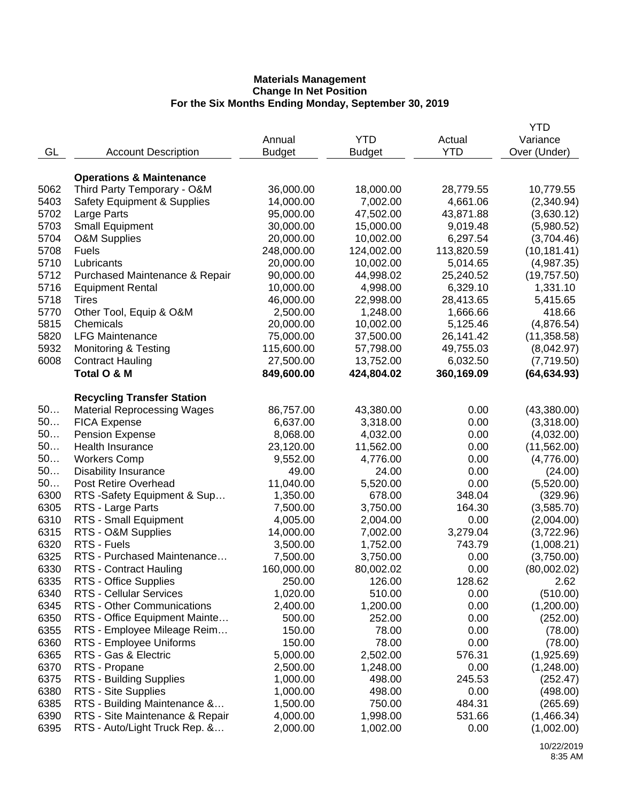|      |                                        |               |               |            | YTD          |
|------|----------------------------------------|---------------|---------------|------------|--------------|
|      |                                        | Annual        | <b>YTD</b>    | Actual     | Variance     |
| GL   | <b>Account Description</b>             | <b>Budget</b> | <b>Budget</b> | <b>YTD</b> | Over (Under) |
|      |                                        |               |               |            |              |
|      | <b>Operations &amp; Maintenance</b>    |               |               |            |              |
| 5062 | Third Party Temporary - O&M            | 36,000.00     | 18,000.00     | 28,779.55  | 10,779.55    |
| 5403 | <b>Safety Equipment &amp; Supplies</b> | 14,000.00     | 7,002.00      | 4,661.06   | (2,340.94)   |
| 5702 | Large Parts                            | 95,000.00     | 47,502.00     | 43,871.88  | (3,630.12)   |
| 5703 | <b>Small Equipment</b>                 | 30,000.00     | 15,000.00     | 9,019.48   | (5,980.52)   |
| 5704 | <b>O&amp;M Supplies</b>                | 20,000.00     | 10,002.00     | 6,297.54   | (3,704.46)   |
| 5708 | <b>Fuels</b>                           | 248,000.00    | 124,002.00    | 113,820.59 | (10, 181.41) |
| 5710 | Lubricants                             | 20,000.00     | 10,002.00     | 5,014.65   | (4,987.35)   |
| 5712 | Purchased Maintenance & Repair         | 90,000.00     | 44,998.02     | 25,240.52  | (19, 757.50) |
| 5716 | <b>Equipment Rental</b>                | 10,000.00     | 4,998.00      | 6,329.10   | 1,331.10     |
| 5718 | Tires                                  | 46,000.00     | 22,998.00     | 28,413.65  | 5,415.65     |
| 5770 |                                        | 2,500.00      | 1,248.00      | 1,666.66   | 418.66       |
| 5815 | Other Tool, Equip & O&M<br>Chemicals   |               |               |            |              |
|      |                                        | 20,000.00     | 10,002.00     | 5,125.46   | (4,876.54)   |
| 5820 | <b>LFG Maintenance</b>                 | 75,000.00     | 37,500.00     | 26,141.42  | (11, 358.58) |
| 5932 | <b>Monitoring &amp; Testing</b>        | 115,600.00    | 57,798.00     | 49,755.03  | (8,042.97)   |
| 6008 | <b>Contract Hauling</b>                | 27,500.00     | 13,752.00     | 6,032.50   | (7,719.50)   |
|      | Total O & M                            | 849,600.00    | 424,804.02    | 360,169.09 | (64, 634.93) |
|      |                                        |               |               |            |              |
|      | <b>Recycling Transfer Station</b>      |               |               |            |              |
| 50   | <b>Material Reprocessing Wages</b>     | 86,757.00     | 43,380.00     | 0.00       | (43,380.00)  |
| 50   | <b>FICA Expense</b>                    | 6,637.00      | 3,318.00      | 0.00       | (3,318.00)   |
| 50   | <b>Pension Expense</b>                 | 8,068.00      | 4,032.00      | 0.00       | (4,032.00)   |
| 50   | Health Insurance                       | 23,120.00     | 11,562.00     | 0.00       | (11, 562.00) |
| 50   | <b>Workers Comp</b>                    | 9,552.00      | 4,776.00      | 0.00       | (4,776.00)   |
| 50   | <b>Disability Insurance</b>            | 49.00         | 24.00         | 0.00       | (24.00)      |
| 50   | Post Retire Overhead                   | 11,040.00     | 5,520.00      | 0.00       | (5,520.00)   |
| 6300 | RTS -Safety Equipment & Sup            | 1,350.00      | 678.00        | 348.04     | (329.96)     |
| 6305 | RTS - Large Parts                      | 7,500.00      | 3,750.00      | 164.30     | (3,585.70)   |
| 6310 | RTS - Small Equipment                  | 4,005.00      | 2,004.00      | 0.00       | (2,004.00)   |
| 6315 | RTS - O&M Supplies                     | 14,000.00     | 7,002.00      | 3,279.04   | (3,722.96)   |
| 6320 | RTS - Fuels                            | 3,500.00      | 1,752.00      | 743.79     | (1,008.21)   |
| 6325 | RTS - Purchased Maintenance            | 7,500.00      | 3,750.00      | 0.00       | (3,750.00)   |
| 6330 | RTS - Contract Hauling                 | 160,000.00    | 80,002.02     | 0.00       | (80,002.02)  |
| 6335 | RTS - Office Supplies                  | 250.00        | 126.00        | 128.62     | 2.62         |
| 6340 | <b>RTS - Cellular Services</b>         | 1,020.00      | 510.00        | 0.00       | (510.00)     |
| 6345 | RTS - Other Communications             | 2,400.00      | 1,200.00      | 0.00       | (1,200.00)   |
| 6350 | RTS - Office Equipment Mainte          | 500.00        | 252.00        | 0.00       | (252.00)     |
| 6355 | RTS - Employee Mileage Reim            | 150.00        | 78.00         | 0.00       | (78.00)      |
| 6360 | RTS - Employee Uniforms                | 150.00        | 78.00         | 0.00       | (78.00)      |
| 6365 | RTS - Gas & Electric                   | 5,000.00      | 2,502.00      | 576.31     | (1,925.69)   |
| 6370 | RTS - Propane                          | 2,500.00      | 1,248.00      | 0.00       | (1,248.00)   |
| 6375 | RTS - Building Supplies                | 1,000.00      | 498.00        | 245.53     | (252.47)     |
| 6380 | RTS - Site Supplies                    | 1,000.00      | 498.00        | 0.00       | (498.00)     |
| 6385 | RTS - Building Maintenance &           | 1,500.00      | 750.00        | 484.31     | (265.69)     |
| 6390 | RTS - Site Maintenance & Repair        | 4,000.00      | 1,998.00      | 531.66     | (1,466.34)   |
| 6395 | RTS - Auto/Light Truck Rep. &          |               |               | 0.00       |              |
|      |                                        | 2,000.00      | 1,002.00      |            | (1,002.00)   |
|      |                                        |               |               |            |              |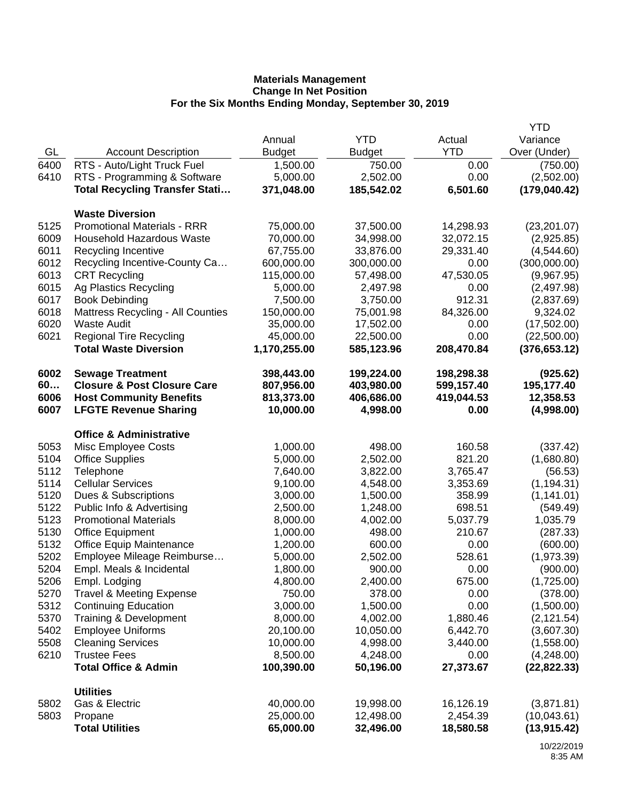|              |                                          |               |               |            | <b>YTD</b>    |
|--------------|------------------------------------------|---------------|---------------|------------|---------------|
|              |                                          | Annual        | <b>YTD</b>    | Actual     | Variance      |
| GL           | <b>Account Description</b>               | <b>Budget</b> | <b>Budget</b> | <b>YTD</b> | Over (Under)  |
| 6400         | RTS - Auto/Light Truck Fuel              | 1,500.00      | 750.00        | 0.00       | (750.00)      |
| 6410         | RTS - Programming & Software             | 5,000.00      | 2,502.00      | 0.00       | (2,502.00)    |
|              | <b>Total Recycling Transfer Stati</b>    | 371,048.00    | 185,542.02    | 6,501.60   | (179, 040.42) |
|              | <b>Waste Diversion</b>                   |               |               |            |               |
| 5125         | <b>Promotional Materials - RRR</b>       | 75,000.00     | 37,500.00     | 14,298.93  | (23, 201.07)  |
| 6009         | <b>Household Hazardous Waste</b>         | 70,000.00     |               | 32,072.15  |               |
|              |                                          |               | 34,998.00     |            | (2,925.85)    |
| 6011         | Recycling Incentive                      | 67,755.00     | 33,876.00     | 29,331.40  | (4,544.60)    |
| 6012<br>6013 | Recycling Incentive-County Ca            | 600,000.00    | 300,000.00    | 0.00       | (300,000.00)  |
|              | <b>CRT Recycling</b>                     | 115,000.00    | 57,498.00     | 47,530.05  | (9,967.95)    |
| 6015         | Ag Plastics Recycling                    | 5,000.00      | 2,497.98      | 0.00       | (2,497.98)    |
| 6017         | <b>Book Debinding</b>                    | 7,500.00      | 3,750.00      | 912.31     | (2,837.69)    |
| 6018         | <b>Mattress Recycling - All Counties</b> | 150,000.00    | 75,001.98     | 84,326.00  | 9,324.02      |
| 6020         | <b>Waste Audit</b>                       | 35,000.00     | 17,502.00     | 0.00       | (17,502.00)   |
| 6021         | <b>Regional Tire Recycling</b>           | 45,000.00     | 22,500.00     | 0.00       | (22,500.00)   |
|              | <b>Total Waste Diversion</b>             | 1,170,255.00  | 585,123.96    | 208,470.84 | (376, 653.12) |
| 6002         | <b>Sewage Treatment</b>                  | 398,443.00    | 199,224.00    | 198,298.38 | (925.62)      |
| 60           | <b>Closure &amp; Post Closure Care</b>   | 807,956.00    | 403,980.00    | 599,157.40 | 195,177.40    |
| 6006         | <b>Host Community Benefits</b>           | 813,373.00    | 406,686.00    | 419,044.53 | 12,358.53     |
| 6007         | <b>LFGTE Revenue Sharing</b>             | 10,000.00     | 4,998.00      | 0.00       | (4,998.00)    |
|              | <b>Office &amp; Administrative</b>       |               |               |            |               |
| 5053         | Misc Employee Costs                      | 1,000.00      | 498.00        | 160.58     | (337.42)      |
| 5104         | <b>Office Supplies</b>                   | 5,000.00      | 2,502.00      | 821.20     | (1,680.80)    |
| 5112         | Telephone                                | 7,640.00      | 3,822.00      | 3,765.47   | (56.53)       |
| 5114         | <b>Cellular Services</b>                 | 9,100.00      | 4,548.00      | 3,353.69   | (1, 194.31)   |
| 5120         | Dues & Subscriptions                     | 3,000.00      | 1,500.00      | 358.99     | (1, 141.01)   |
| 5122         | Public Info & Advertising                | 2,500.00      | 1,248.00      | 698.51     | (549.49)      |
| 5123         | <b>Promotional Materials</b>             | 8,000.00      | 4,002.00      | 5,037.79   | 1,035.79      |
| 5130         | <b>Office Equipment</b>                  | 1,000.00      | 498.00        | 210.67     | (287.33)      |
| 5132         | <b>Office Equip Maintenance</b>          | 1,200.00      | 600.00        | 0.00       | (600.00)      |
| 5202         | Employee Mileage Reimburse               | 5,000.00      | 2,502.00      | 528.61     | (1,973.39)    |
| 5204         | Empl. Meals & Incidental                 | 1,800.00      | 900.00        | 0.00       | (900.00)      |
| 5206         | Empl. Lodging                            | 4,800.00      | 2,400.00      | 675.00     | (1,725.00)    |
| 5270         | <b>Travel &amp; Meeting Expense</b>      | 750.00        | 378.00        | 0.00       | (378.00)      |
| 5312         | <b>Continuing Education</b>              | 3,000.00      | 1,500.00      | 0.00       | (1,500.00)    |
| 5370         | Training & Development                   | 8,000.00      | 4,002.00      | 1,880.46   | (2, 121.54)   |
| 5402         | <b>Employee Uniforms</b>                 | 20,100.00     | 10,050.00     | 6,442.70   | (3,607.30)    |
| 5508         | <b>Cleaning Services</b>                 | 10,000.00     | 4,998.00      | 3,440.00   | (1,558.00)    |
| 6210         | <b>Trustee Fees</b>                      | 8,500.00      | 4,248.00      | 0.00       | (4,248.00)    |
|              | <b>Total Office &amp; Admin</b>          | 100,390.00    | 50,196.00     | 27,373.67  | (22, 822.33)  |
|              | <b>Utilities</b>                         |               |               |            |               |
| 5802         | Gas & Electric                           | 40,000.00     | 19,998.00     | 16,126.19  | (3,871.81)    |
| 5803         | Propane                                  | 25,000.00     | 12,498.00     | 2,454.39   | (10,043.61)   |
|              | <b>Total Utilities</b>                   | 65,000.00     | 32,496.00     | 18,580.58  | (13, 915.42)  |
|              |                                          |               |               |            |               |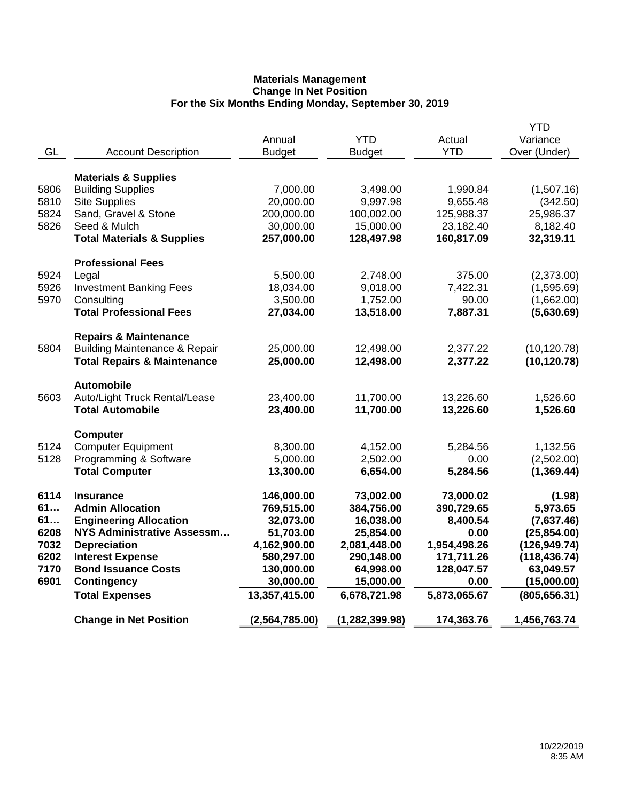| <b>Materials &amp; Supplies</b><br>5806<br><b>Building Supplies</b><br>7,000.00<br>3,498.00<br>1,990.84<br>5810<br><b>Site Supplies</b><br>20,000.00<br>9,997.98<br>9,655.48<br>5824<br>Sand, Gravel & Stone<br>200,000.00<br>100,002.00<br>125,988.37<br>5826<br>Seed & Mulch<br>30,000.00<br>15,000.00<br>23,182.40<br><b>Total Materials &amp; Supplies</b><br>257,000.00<br>128,497.98<br>160,817.09<br><b>Professional Fees</b><br>5924<br>2,748.00<br>375.00<br>Legal<br>5,500.00<br>5926<br><b>Investment Banking Fees</b><br>18,034.00<br>9,018.00<br>7,422.31<br>5970<br>Consulting<br>3,500.00<br>1,752.00<br>90.00<br><b>Total Professional Fees</b><br>27,034.00<br>13,518.00<br>7,887.31<br><b>Repairs &amp; Maintenance</b><br><b>Building Maintenance &amp; Repair</b><br>5804<br>25,000.00<br>12,498.00<br>2,377.22<br><b>Total Repairs &amp; Maintenance</b><br>25,000.00<br>12,498.00<br>2,377.22<br><b>Automobile</b><br>Auto/Light Truck Rental/Lease<br>5603<br>23,400.00<br>11,700.00<br>13,226.60<br><b>Total Automobile</b><br>11,700.00<br>13,226.60<br>23,400.00<br><b>Computer</b><br>5124<br><b>Computer Equipment</b><br>8,300.00<br>4,152.00<br>5,284.56<br>5128<br>Programming & Software<br>5,000.00<br>2,502.00<br>0.00<br><b>Total Computer</b><br>13,300.00<br>6,654.00<br>5,284.56<br>6114<br>146,000.00<br>73,002.00<br>73,000.02<br><b>Insurance</b><br>61<br>769,515.00<br>384,756.00<br>390,729.65<br><b>Admin Allocation</b><br>61<br><b>Engineering Allocation</b><br>16,038.00<br>32,073.00<br>8,400.54<br><b>NYS Administrative Assessm</b><br>6208<br>51,703.00<br>25,854.00<br>0.00<br>7032<br><b>Depreciation</b><br>4,162,900.00<br>2,081,448.00<br>1,954,498.26<br>6202<br><b>Interest Expense</b><br>580,297.00<br>290,148.00<br>171,711.26<br>7170<br><b>Bond Issuance Costs</b><br>130,000.00<br>64,998.00<br>128,047.57 | <b>YTD</b><br>Variance<br>Over (Under) | Actual<br><b>YTD</b> | <b>YTD</b><br><b>Budget</b> | Annual<br><b>Budget</b> | <b>Account Description</b> | GL   |
|------------------------------------------------------------------------------------------------------------------------------------------------------------------------------------------------------------------------------------------------------------------------------------------------------------------------------------------------------------------------------------------------------------------------------------------------------------------------------------------------------------------------------------------------------------------------------------------------------------------------------------------------------------------------------------------------------------------------------------------------------------------------------------------------------------------------------------------------------------------------------------------------------------------------------------------------------------------------------------------------------------------------------------------------------------------------------------------------------------------------------------------------------------------------------------------------------------------------------------------------------------------------------------------------------------------------------------------------------------------------------------------------------------------------------------------------------------------------------------------------------------------------------------------------------------------------------------------------------------------------------------------------------------------------------------------------------------------------------------------------------------------------------------------------------------------------------------------------------------------------------|----------------------------------------|----------------------|-----------------------------|-------------------------|----------------------------|------|
|                                                                                                                                                                                                                                                                                                                                                                                                                                                                                                                                                                                                                                                                                                                                                                                                                                                                                                                                                                                                                                                                                                                                                                                                                                                                                                                                                                                                                                                                                                                                                                                                                                                                                                                                                                                                                                                                              |                                        |                      |                             |                         |                            |      |
|                                                                                                                                                                                                                                                                                                                                                                                                                                                                                                                                                                                                                                                                                                                                                                                                                                                                                                                                                                                                                                                                                                                                                                                                                                                                                                                                                                                                                                                                                                                                                                                                                                                                                                                                                                                                                                                                              | (1,507.16)                             |                      |                             |                         |                            |      |
|                                                                                                                                                                                                                                                                                                                                                                                                                                                                                                                                                                                                                                                                                                                                                                                                                                                                                                                                                                                                                                                                                                                                                                                                                                                                                                                                                                                                                                                                                                                                                                                                                                                                                                                                                                                                                                                                              | (342.50)                               |                      |                             |                         |                            |      |
|                                                                                                                                                                                                                                                                                                                                                                                                                                                                                                                                                                                                                                                                                                                                                                                                                                                                                                                                                                                                                                                                                                                                                                                                                                                                                                                                                                                                                                                                                                                                                                                                                                                                                                                                                                                                                                                                              | 25,986.37                              |                      |                             |                         |                            |      |
|                                                                                                                                                                                                                                                                                                                                                                                                                                                                                                                                                                                                                                                                                                                                                                                                                                                                                                                                                                                                                                                                                                                                                                                                                                                                                                                                                                                                                                                                                                                                                                                                                                                                                                                                                                                                                                                                              | 8,182.40                               |                      |                             |                         |                            |      |
|                                                                                                                                                                                                                                                                                                                                                                                                                                                                                                                                                                                                                                                                                                                                                                                                                                                                                                                                                                                                                                                                                                                                                                                                                                                                                                                                                                                                                                                                                                                                                                                                                                                                                                                                                                                                                                                                              | 32,319.11                              |                      |                             |                         |                            |      |
|                                                                                                                                                                                                                                                                                                                                                                                                                                                                                                                                                                                                                                                                                                                                                                                                                                                                                                                                                                                                                                                                                                                                                                                                                                                                                                                                                                                                                                                                                                                                                                                                                                                                                                                                                                                                                                                                              |                                        |                      |                             |                         |                            |      |
|                                                                                                                                                                                                                                                                                                                                                                                                                                                                                                                                                                                                                                                                                                                                                                                                                                                                                                                                                                                                                                                                                                                                                                                                                                                                                                                                                                                                                                                                                                                                                                                                                                                                                                                                                                                                                                                                              | (2,373.00)                             |                      |                             |                         |                            |      |
|                                                                                                                                                                                                                                                                                                                                                                                                                                                                                                                                                                                                                                                                                                                                                                                                                                                                                                                                                                                                                                                                                                                                                                                                                                                                                                                                                                                                                                                                                                                                                                                                                                                                                                                                                                                                                                                                              | (1,595.69)                             |                      |                             |                         |                            |      |
|                                                                                                                                                                                                                                                                                                                                                                                                                                                                                                                                                                                                                                                                                                                                                                                                                                                                                                                                                                                                                                                                                                                                                                                                                                                                                                                                                                                                                                                                                                                                                                                                                                                                                                                                                                                                                                                                              | (1,662.00)                             |                      |                             |                         |                            |      |
|                                                                                                                                                                                                                                                                                                                                                                                                                                                                                                                                                                                                                                                                                                                                                                                                                                                                                                                                                                                                                                                                                                                                                                                                                                                                                                                                                                                                                                                                                                                                                                                                                                                                                                                                                                                                                                                                              | (5,630.69)                             |                      |                             |                         |                            |      |
|                                                                                                                                                                                                                                                                                                                                                                                                                                                                                                                                                                                                                                                                                                                                                                                                                                                                                                                                                                                                                                                                                                                                                                                                                                                                                                                                                                                                                                                                                                                                                                                                                                                                                                                                                                                                                                                                              |                                        |                      |                             |                         |                            |      |
|                                                                                                                                                                                                                                                                                                                                                                                                                                                                                                                                                                                                                                                                                                                                                                                                                                                                                                                                                                                                                                                                                                                                                                                                                                                                                                                                                                                                                                                                                                                                                                                                                                                                                                                                                                                                                                                                              | (10, 120.78)                           |                      |                             |                         |                            |      |
|                                                                                                                                                                                                                                                                                                                                                                                                                                                                                                                                                                                                                                                                                                                                                                                                                                                                                                                                                                                                                                                                                                                                                                                                                                                                                                                                                                                                                                                                                                                                                                                                                                                                                                                                                                                                                                                                              | (10, 120.78)                           |                      |                             |                         |                            |      |
|                                                                                                                                                                                                                                                                                                                                                                                                                                                                                                                                                                                                                                                                                                                                                                                                                                                                                                                                                                                                                                                                                                                                                                                                                                                                                                                                                                                                                                                                                                                                                                                                                                                                                                                                                                                                                                                                              |                                        |                      |                             |                         |                            |      |
|                                                                                                                                                                                                                                                                                                                                                                                                                                                                                                                                                                                                                                                                                                                                                                                                                                                                                                                                                                                                                                                                                                                                                                                                                                                                                                                                                                                                                                                                                                                                                                                                                                                                                                                                                                                                                                                                              | 1,526.60                               |                      |                             |                         |                            |      |
|                                                                                                                                                                                                                                                                                                                                                                                                                                                                                                                                                                                                                                                                                                                                                                                                                                                                                                                                                                                                                                                                                                                                                                                                                                                                                                                                                                                                                                                                                                                                                                                                                                                                                                                                                                                                                                                                              | 1,526.60                               |                      |                             |                         |                            |      |
|                                                                                                                                                                                                                                                                                                                                                                                                                                                                                                                                                                                                                                                                                                                                                                                                                                                                                                                                                                                                                                                                                                                                                                                                                                                                                                                                                                                                                                                                                                                                                                                                                                                                                                                                                                                                                                                                              |                                        |                      |                             |                         |                            |      |
|                                                                                                                                                                                                                                                                                                                                                                                                                                                                                                                                                                                                                                                                                                                                                                                                                                                                                                                                                                                                                                                                                                                                                                                                                                                                                                                                                                                                                                                                                                                                                                                                                                                                                                                                                                                                                                                                              | 1,132.56                               |                      |                             |                         |                            |      |
|                                                                                                                                                                                                                                                                                                                                                                                                                                                                                                                                                                                                                                                                                                                                                                                                                                                                                                                                                                                                                                                                                                                                                                                                                                                                                                                                                                                                                                                                                                                                                                                                                                                                                                                                                                                                                                                                              | (2,502.00)                             |                      |                             |                         |                            |      |
|                                                                                                                                                                                                                                                                                                                                                                                                                                                                                                                                                                                                                                                                                                                                                                                                                                                                                                                                                                                                                                                                                                                                                                                                                                                                                                                                                                                                                                                                                                                                                                                                                                                                                                                                                                                                                                                                              | (1, 369.44)                            |                      |                             |                         |                            |      |
|                                                                                                                                                                                                                                                                                                                                                                                                                                                                                                                                                                                                                                                                                                                                                                                                                                                                                                                                                                                                                                                                                                                                                                                                                                                                                                                                                                                                                                                                                                                                                                                                                                                                                                                                                                                                                                                                              | (1.98)                                 |                      |                             |                         |                            |      |
|                                                                                                                                                                                                                                                                                                                                                                                                                                                                                                                                                                                                                                                                                                                                                                                                                                                                                                                                                                                                                                                                                                                                                                                                                                                                                                                                                                                                                                                                                                                                                                                                                                                                                                                                                                                                                                                                              | 5,973.65                               |                      |                             |                         |                            |      |
|                                                                                                                                                                                                                                                                                                                                                                                                                                                                                                                                                                                                                                                                                                                                                                                                                                                                                                                                                                                                                                                                                                                                                                                                                                                                                                                                                                                                                                                                                                                                                                                                                                                                                                                                                                                                                                                                              | (7,637.46)                             |                      |                             |                         |                            |      |
|                                                                                                                                                                                                                                                                                                                                                                                                                                                                                                                                                                                                                                                                                                                                                                                                                                                                                                                                                                                                                                                                                                                                                                                                                                                                                                                                                                                                                                                                                                                                                                                                                                                                                                                                                                                                                                                                              | (25, 854.00)                           |                      |                             |                         |                            |      |
|                                                                                                                                                                                                                                                                                                                                                                                                                                                                                                                                                                                                                                                                                                                                                                                                                                                                                                                                                                                                                                                                                                                                                                                                                                                                                                                                                                                                                                                                                                                                                                                                                                                                                                                                                                                                                                                                              | (126, 949.74)                          |                      |                             |                         |                            |      |
|                                                                                                                                                                                                                                                                                                                                                                                                                                                                                                                                                                                                                                                                                                                                                                                                                                                                                                                                                                                                                                                                                                                                                                                                                                                                                                                                                                                                                                                                                                                                                                                                                                                                                                                                                                                                                                                                              | (118, 436.74)                          |                      |                             |                         |                            |      |
|                                                                                                                                                                                                                                                                                                                                                                                                                                                                                                                                                                                                                                                                                                                                                                                                                                                                                                                                                                                                                                                                                                                                                                                                                                                                                                                                                                                                                                                                                                                                                                                                                                                                                                                                                                                                                                                                              | 63,049.57                              | 0.00                 |                             |                         |                            | 6901 |
| <b>Contingency</b><br>30,000.00<br>15,000.00                                                                                                                                                                                                                                                                                                                                                                                                                                                                                                                                                                                                                                                                                                                                                                                                                                                                                                                                                                                                                                                                                                                                                                                                                                                                                                                                                                                                                                                                                                                                                                                                                                                                                                                                                                                                                                 | (15,000.00)                            |                      |                             |                         |                            |      |
| 13,357,415.00<br>5,873,065.67<br><b>Total Expenses</b><br>6,678,721.98                                                                                                                                                                                                                                                                                                                                                                                                                                                                                                                                                                                                                                                                                                                                                                                                                                                                                                                                                                                                                                                                                                                                                                                                                                                                                                                                                                                                                                                                                                                                                                                                                                                                                                                                                                                                       | (805, 656.31)                          |                      |                             |                         |                            |      |
| <b>Change in Net Position</b><br>(2,564,785.00)<br>(1, 282, 399.98)<br>174,363.76                                                                                                                                                                                                                                                                                                                                                                                                                                                                                                                                                                                                                                                                                                                                                                                                                                                                                                                                                                                                                                                                                                                                                                                                                                                                                                                                                                                                                                                                                                                                                                                                                                                                                                                                                                                            | 1,456,763.74                           |                      |                             |                         |                            |      |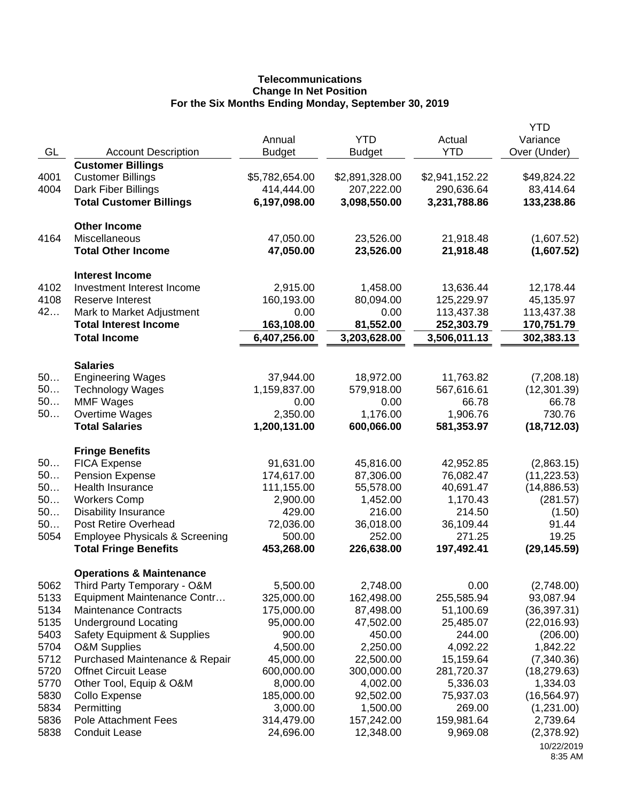# **Telecommunications Change In Net Position For the Six Months Ending Monday, September 30, 2019**

| GL           | <b>Account Description</b>                                                  | Annual<br><b>Budget</b>      | <b>YTD</b><br><b>Budget</b>  | Actual<br><b>YTD</b>         | <b>YTD</b><br>Variance<br>Over (Under) |
|--------------|-----------------------------------------------------------------------------|------------------------------|------------------------------|------------------------------|----------------------------------------|
| 4001<br>4004 | <b>Customer Billings</b><br><b>Customer Billings</b><br>Dark Fiber Billings | \$5,782,654.00<br>414,444.00 | \$2,891,328.00<br>207,222.00 | \$2,941,152.22<br>290,636.64 | \$49,824.22<br>83,414.64               |
|              | <b>Total Customer Billings</b>                                              | 6,197,098.00                 | 3,098,550.00                 | 3,231,788.86                 | 133,238.86                             |
| 4164         | <b>Other Income</b><br>Miscellaneous                                        | 47,050.00                    | 23,526.00                    | 21,918.48                    | (1,607.52)                             |
|              | <b>Total Other Income</b>                                                   | 47,050.00                    | 23,526.00                    | 21,918.48                    | (1,607.52)                             |
| 4102         | <b>Interest Income</b><br>Investment Interest Income                        | 2,915.00                     | 1,458.00                     | 13,636.44                    | 12,178.44                              |
| 4108         | <b>Reserve Interest</b>                                                     | 160,193.00                   | 80,094.00                    | 125,229.97                   | 45,135.97                              |
| 42           | Mark to Market Adjustment                                                   | 0.00                         | 0.00                         | 113,437.38                   | 113,437.38                             |
|              | <b>Total Interest Income</b>                                                | 163,108.00                   | 81,552.00                    | 252,303.79                   | 170,751.79                             |
|              | <b>Total Income</b>                                                         | 6,407,256.00                 | 3,203,628.00                 | 3,506,011.13                 | 302,383.13                             |
|              | <b>Salaries</b>                                                             |                              |                              |                              |                                        |
| 50           | <b>Engineering Wages</b>                                                    | 37,944.00                    | 18,972.00                    | 11,763.82                    | (7,208.18)                             |
| 50           | <b>Technology Wages</b>                                                     | 1,159,837.00                 | 579,918.00                   | 567,616.61                   | (12, 301.39)                           |
| 50           | <b>MMF Wages</b>                                                            | 0.00                         | 0.00                         | 66.78                        | 66.78                                  |
| 50           | Overtime Wages<br><b>Total Salaries</b>                                     | 2,350.00<br>1,200,131.00     | 1,176.00<br>600,066.00       | 1,906.76<br>581,353.97       | 730.76<br>(18, 712.03)                 |
|              |                                                                             |                              |                              |                              |                                        |
|              | <b>Fringe Benefits</b>                                                      |                              |                              |                              |                                        |
| 50           | <b>FICA Expense</b>                                                         | 91,631.00                    | 45,816.00                    | 42,952.85                    | (2,863.15)                             |
| 50<br>50     | <b>Pension Expense</b>                                                      | 174,617.00                   | 87,306.00                    | 76,082.47                    | (11, 223.53)                           |
| 50           | Health Insurance<br><b>Workers Comp</b>                                     | 111,155.00<br>2,900.00       | 55,578.00<br>1,452.00        | 40,691.47<br>1,170.43        | (14,886.53)<br>(281.57)                |
| 50           | <b>Disability Insurance</b>                                                 | 429.00                       | 216.00                       | 214.50                       | (1.50)                                 |
| 50           | <b>Post Retire Overhead</b>                                                 | 72,036.00                    | 36,018.00                    | 36,109.44                    | 91.44                                  |
| 5054         | <b>Employee Physicals &amp; Screening</b>                                   | 500.00                       | 252.00                       | 271.25                       | 19.25                                  |
|              | <b>Total Fringe Benefits</b>                                                | 453,268.00                   | 226,638.00                   | 197,492.41                   | (29, 145.59)                           |
|              | <b>Operations &amp; Maintenance</b>                                         |                              |                              |                              |                                        |
| 5062         | Third Party Temporary - O&M                                                 | 5,500.00                     | 2,748.00                     | 0.00                         | (2,748.00)                             |
| 5133         | Equipment Maintenance Contr                                                 | 325,000.00                   | 162,498.00                   | 255,585.94                   | 93,087.94                              |
| 5134         | <b>Maintenance Contracts</b>                                                | 175,000.00                   | 87,498.00                    | 51,100.69                    | (36, 397.31)                           |
| 5135         | <b>Underground Locating</b>                                                 | 95,000.00                    | 47,502.00                    | 25,485.07                    | (22,016.93)                            |
| 5403         | <b>Safety Equipment &amp; Supplies</b>                                      | 900.00                       | 450.00                       | 244.00                       | (206.00)                               |
| 5704<br>5712 | <b>O&amp;M Supplies</b><br>Purchased Maintenance & Repair                   | 4,500.00<br>45,000.00        | 2,250.00<br>22,500.00        | 4,092.22<br>15,159.64        | 1,842.22<br>(7,340.36)                 |
| 5720         | <b>Offnet Circuit Lease</b>                                                 | 600,000.00                   | 300,000.00                   | 281,720.37                   | (18, 279.63)                           |
| 5770         | Other Tool, Equip & O&M                                                     | 8,000.00                     | 4,002.00                     | 5,336.03                     | 1,334.03                               |
| 5830         | Collo Expense                                                               | 185,000.00                   | 92,502.00                    | 75,937.03                    | (16, 564.97)                           |
| 5834         | Permitting                                                                  | 3,000.00                     | 1,500.00                     | 269.00                       | (1,231.00)                             |
| 5836         | Pole Attachment Fees                                                        | 314,479.00                   | 157,242.00                   | 159,981.64                   | 2,739.64                               |
| 5838         | <b>Conduit Lease</b>                                                        | 24,696.00                    | 12,348.00                    | 9,969.08                     | (2,378.92)                             |
|              |                                                                             |                              |                              |                              | 10/22/2019<br>8:35 AM                  |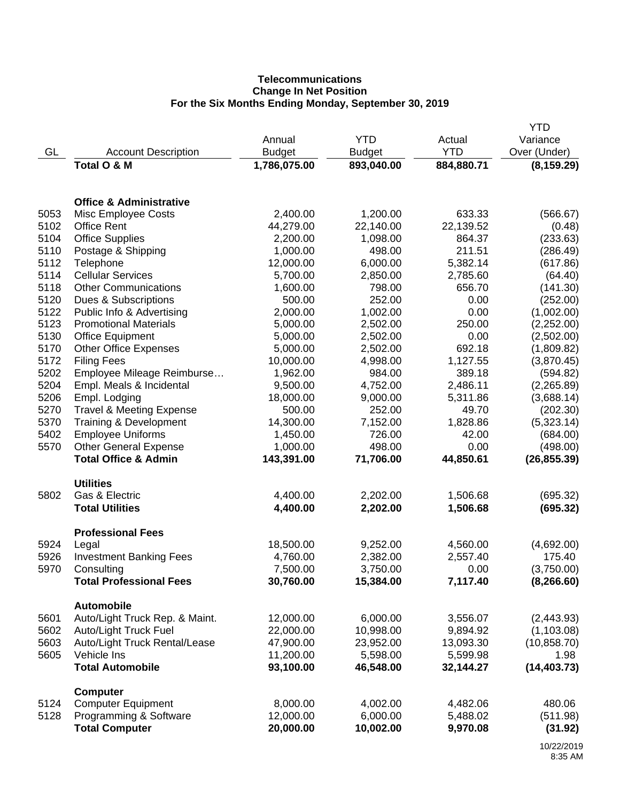# **Telecommunications Change In Net Position For the Six Months Ending Monday, September 30, 2019**

|      |                                     |               |               |            | <b>YTD</b>   |
|------|-------------------------------------|---------------|---------------|------------|--------------|
|      |                                     | Annual        | <b>YTD</b>    | Actual     | Variance     |
| GL   | <b>Account Description</b>          | <b>Budget</b> | <b>Budget</b> | <b>YTD</b> | Over (Under) |
|      | Total O & M                         | 1,786,075.00  | 893,040.00    | 884,880.71 | (8, 159.29)  |
|      |                                     |               |               |            |              |
|      | <b>Office &amp; Administrative</b>  |               |               |            |              |
| 5053 | <b>Misc Employee Costs</b>          | 2,400.00      | 1,200.00      | 633.33     | (566.67)     |
| 5102 | <b>Office Rent</b>                  | 44,279.00     | 22,140.00     | 22,139.52  | (0.48)       |
| 5104 | <b>Office Supplies</b>              | 2,200.00      | 1,098.00      | 864.37     | (233.63)     |
| 5110 | Postage & Shipping                  | 1,000.00      | 498.00        | 211.51     | (286.49)     |
| 5112 | Telephone                           | 12,000.00     | 6,000.00      | 5,382.14   | (617.86)     |
| 5114 | <b>Cellular Services</b>            | 5,700.00      | 2,850.00      | 2,785.60   | (64.40)      |
| 5118 | <b>Other Communications</b>         | 1,600.00      | 798.00        | 656.70     | (141.30)     |
| 5120 | Dues & Subscriptions                | 500.00        | 252.00        | 0.00       | (252.00)     |
| 5122 | Public Info & Advertising           | 2,000.00      | 1,002.00      | 0.00       | (1,002.00)   |
| 5123 | <b>Promotional Materials</b>        | 5,000.00      | 2,502.00      | 250.00     | (2,252.00)   |
| 5130 | <b>Office Equipment</b>             | 5,000.00      | 2,502.00      | 0.00       | (2,502.00)   |
| 5170 | <b>Other Office Expenses</b>        | 5,000.00      | 2,502.00      | 692.18     | (1,809.82)   |
| 5172 | <b>Filing Fees</b>                  | 10,000.00     | 4,998.00      | 1,127.55   | (3,870.45)   |
| 5202 | Employee Mileage Reimburse          | 1,962.00      | 984.00        | 389.18     | (594.82)     |
| 5204 | Empl. Meals & Incidental            | 9,500.00      | 4,752.00      | 2,486.11   | (2,265.89)   |
| 5206 | Empl. Lodging                       | 18,000.00     | 9,000.00      | 5,311.86   | (3,688.14)   |
| 5270 | <b>Travel &amp; Meeting Expense</b> | 500.00        | 252.00        | 49.70      | (202.30)     |
| 5370 | Training & Development              | 14,300.00     | 7,152.00      | 1,828.86   | (5,323.14)   |
| 5402 | <b>Employee Uniforms</b>            | 1,450.00      | 726.00        | 42.00      | (684.00)     |
| 5570 | <b>Other General Expense</b>        | 1,000.00      | 498.00        | 0.00       | (498.00)     |
|      | <b>Total Office &amp; Admin</b>     | 143,391.00    | 71,706.00     | 44,850.61  | (26, 855.39) |
|      |                                     |               |               |            |              |
|      | <b>Utilities</b>                    |               |               |            |              |
| 5802 | Gas & Electric                      | 4,400.00      | 2,202.00      | 1,506.68   | (695.32)     |
|      | <b>Total Utilities</b>              | 4,400.00      | 2,202.00      | 1,506.68   | (695.32)     |
|      | <b>Professional Fees</b>            |               |               |            |              |
| 5924 | Legal                               | 18,500.00     | 9,252.00      | 4,560.00   | (4,692.00)   |
| 5926 | <b>Investment Banking Fees</b>      | 4,760.00      | 2,382.00      | 2,557.40   | 175.40       |
| 5970 | Consulting                          | 7,500.00      | 3,750.00      | 0.00       | (3,750.00)   |
|      | <b>Total Professional Fees</b>      | 30,760.00     | 15,384.00     | 7,117.40   | (8, 266.60)  |
|      | <b>Automobile</b>                   |               |               |            |              |
| 5601 | Auto/Light Truck Rep. & Maint.      | 12,000.00     | 6,000.00      | 3,556.07   | (2,443.93)   |
| 5602 | Auto/Light Truck Fuel               | 22,000.00     | 10,998.00     | 9,894.92   | (1, 103.08)  |
| 5603 | Auto/Light Truck Rental/Lease       | 47,900.00     | 23,952.00     | 13,093.30  | (10, 858.70) |
| 5605 | Vehicle Ins                         | 11,200.00     | 5,598.00      | 5,599.98   | 1.98         |
|      | <b>Total Automobile</b>             | 93,100.00     | 46,548.00     | 32,144.27  | (14, 403.73) |
|      | <b>Computer</b>                     |               |               |            |              |
| 5124 | <b>Computer Equipment</b>           | 8,000.00      | 4,002.00      | 4,482.06   | 480.06       |
| 5128 | Programming & Software              | 12,000.00     | 6,000.00      | 5,488.02   | (511.98)     |
|      | <b>Total Computer</b>               | 20,000.00     | 10,002.00     | 9,970.08   | (31.92)      |
|      |                                     |               |               |            |              |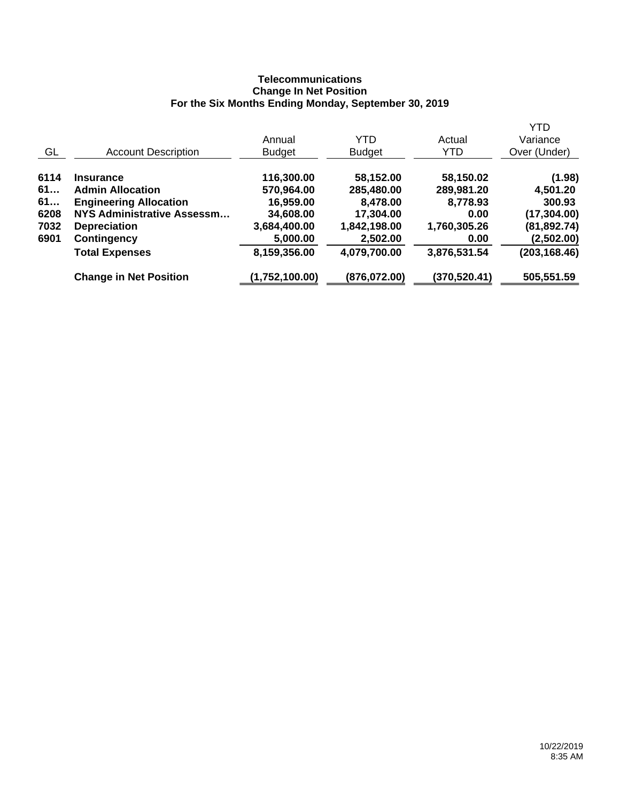## **Telecommunications Change In Net Position For the Six Months Ending Monday, September 30, 2019**

|      |                               |                |               |               | <b>YTD</b>    |
|------|-------------------------------|----------------|---------------|---------------|---------------|
|      |                               | Annual         | YTD           | Actual        | Variance      |
| GL   | <b>Account Description</b>    | <b>Budget</b>  | <b>Budget</b> | YTD           | Over (Under)  |
| 6114 | <b>Insurance</b>              | 116,300.00     | 58,152.00     | 58,150.02     | (1.98)        |
| 61   | <b>Admin Allocation</b>       | 570,964.00     | 285,480.00    | 289,981.20    | 4,501.20      |
| 61   | <b>Engineering Allocation</b> | 16,959.00      | 8,478.00      | 8,778.93      | 300.93        |
| 6208 | NYS Administrative Assessm    | 34,608.00      | 17,304.00     | 0.00          | (17, 304.00)  |
| 7032 | <b>Depreciation</b>           | 3,684,400.00   | 1,842,198.00  | 1,760,305.26  | (81, 892.74)  |
| 6901 | <b>Contingency</b>            | 5,000.00       | 2,502.00      | 0.00          | (2,502.00)    |
|      | <b>Total Expenses</b>         | 8,159,356.00   | 4,079,700.00  | 3,876,531.54  | (203, 168.46) |
|      | <b>Change in Net Position</b> | (1,752,100.00) | (876,072.00)  | (370, 520.41) | 505,551.59    |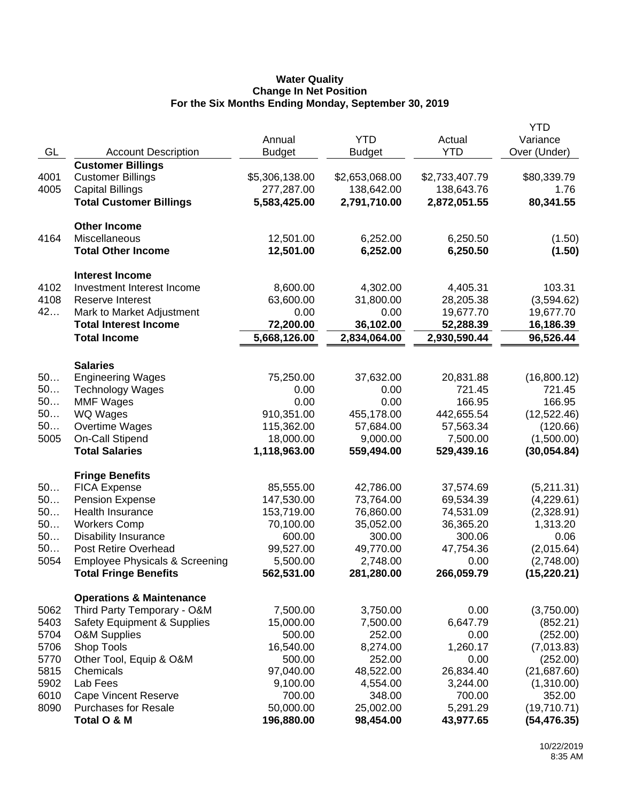### **Water Quality Change In Net Position For the Six Months Ending Monday, September 30, 2019**

|      |                                           |                |                |                | <b>YTD</b>   |
|------|-------------------------------------------|----------------|----------------|----------------|--------------|
|      |                                           | Annual         | <b>YTD</b>     | Actual         | Variance     |
| GL   | <b>Account Description</b>                | <b>Budget</b>  | <b>Budget</b>  | <b>YTD</b>     | Over (Under) |
|      | <b>Customer Billings</b>                  |                |                |                |              |
| 4001 | <b>Customer Billings</b>                  | \$5,306,138.00 | \$2,653,068.00 | \$2,733,407.79 | \$80,339.79  |
| 4005 | <b>Capital Billings</b>                   | 277,287.00     | 138,642.00     | 138,643.76     | 1.76         |
|      | <b>Total Customer Billings</b>            | 5,583,425.00   | 2,791,710.00   | 2,872,051.55   | 80,341.55    |
|      |                                           |                |                |                |              |
|      | <b>Other Income</b>                       |                |                |                |              |
| 4164 | Miscellaneous                             | 12,501.00      | 6,252.00       | 6,250.50       | (1.50)       |
|      | <b>Total Other Income</b>                 | 12,501.00      | 6,252.00       | 6,250.50       | (1.50)       |
|      |                                           |                |                |                |              |
|      | <b>Interest Income</b>                    |                |                |                |              |
| 4102 | Investment Interest Income                | 8,600.00       | 4,302.00       | 4,405.31       | 103.31       |
| 4108 | <b>Reserve Interest</b>                   | 63,600.00      | 31,800.00      | 28,205.38      | (3,594.62)   |
| 42   | Mark to Market Adjustment                 | 0.00           | 0.00           | 19,677.70      | 19,677.70    |
|      | <b>Total Interest Income</b>              | 72,200.00      | 36,102.00      | 52,288.39      | 16,186.39    |
|      | <b>Total Income</b>                       | 5,668,126.00   | 2,834,064.00   | 2,930,590.44   | 96,526.44    |
|      |                                           |                |                |                |              |
|      | <b>Salaries</b>                           |                |                |                |              |
| 50   | <b>Engineering Wages</b>                  | 75,250.00      | 37,632.00      | 20,831.88      | (16,800.12)  |
| 50   | <b>Technology Wages</b>                   | 0.00           | 0.00           | 721.45         | 721.45       |
| 50   | <b>MMF Wages</b>                          | 0.00           | 0.00           | 166.95         | 166.95       |
| 50   | WQ Wages                                  | 910,351.00     | 455,178.00     | 442,655.54     | (12,522.46)  |
| 50   | Overtime Wages                            | 115,362.00     | 57,684.00      | 57,563.34      | (120.66)     |
| 5005 | On-Call Stipend                           | 18,000.00      | 9,000.00       | 7,500.00       | (1,500.00)   |
|      | <b>Total Salaries</b>                     | 1,118,963.00   | 559,494.00     | 529,439.16     | (30,054.84)  |
|      |                                           |                |                |                |              |
|      | <b>Fringe Benefits</b>                    |                |                |                |              |
| 50   | <b>FICA Expense</b>                       | 85,555.00      | 42,786.00      | 37,574.69      | (5,211.31)   |
| 50   | Pension Expense                           | 147,530.00     | 73,764.00      | 69,534.39      | (4,229.61)   |
| 50   | Health Insurance                          | 153,719.00     | 76,860.00      | 74,531.09      | (2,328.91)   |
| 50   | <b>Workers Comp</b>                       | 70,100.00      | 35,052.00      | 36,365.20      | 1,313.20     |
| 50   | <b>Disability Insurance</b>               | 600.00         | 300.00         | 300.06         | 0.06         |
| 50   | Post Retire Overhead                      | 99,527.00      | 49,770.00      | 47,754.36      | (2,015.64)   |
| 5054 | <b>Employee Physicals &amp; Screening</b> | 5,500.00       | 2,748.00       | 0.00           | (2,748.00)   |
|      | <b>Total Fringe Benefits</b>              | 562,531.00     | 281,280.00     | 266,059.79     | (15, 220.21) |
|      |                                           |                |                |                |              |
|      | <b>Operations &amp; Maintenance</b>       |                |                |                |              |
| 5062 | Third Party Temporary - O&M               | 7,500.00       | 3,750.00       | 0.00           | (3,750.00)   |
| 5403 | <b>Safety Equipment &amp; Supplies</b>    | 15,000.00      | 7,500.00       | 6,647.79       | (852.21)     |
| 5704 | <b>O&amp;M Supplies</b>                   | 500.00         | 252.00         | 0.00           | (252.00)     |
| 5706 | Shop Tools                                | 16,540.00      | 8,274.00       | 1,260.17       | (7,013.83)   |
| 5770 | Other Tool, Equip & O&M                   | 500.00         | 252.00         | 0.00           | (252.00)     |
| 5815 | Chemicals                                 | 97,040.00      | 48,522.00      | 26,834.40      | (21,687.60)  |
| 5902 | Lab Fees                                  | 9,100.00       | 4,554.00       | 3,244.00       | (1,310.00)   |
| 6010 | <b>Cape Vincent Reserve</b>               | 700.00         | 348.00         | 700.00         | 352.00       |
| 8090 | <b>Purchases for Resale</b>               | 50,000.00      | 25,002.00      | 5,291.29       | (19,710.71)  |
|      | Total O & M                               | 196,880.00     | 98,454.00      | 43,977.65      | (54, 476.35) |
|      |                                           |                |                |                |              |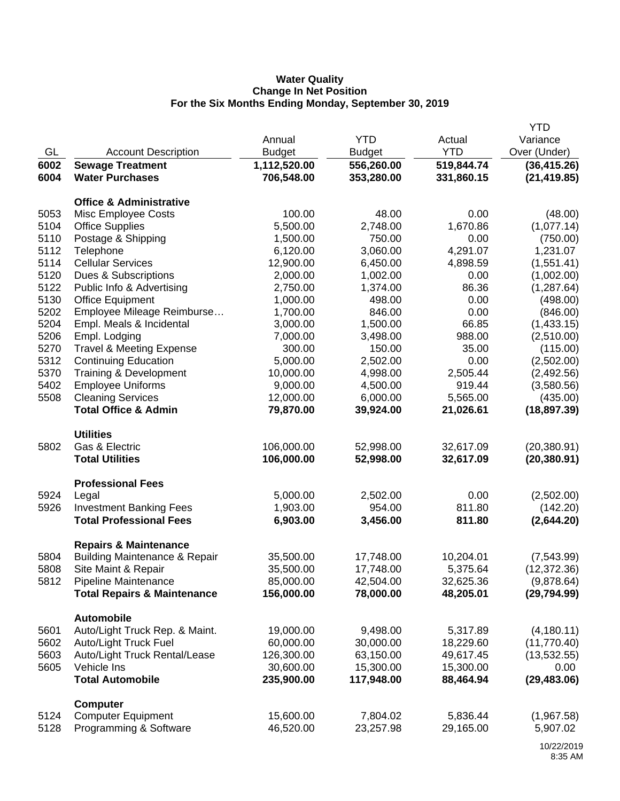## **Water Quality Change In Net Position For the Six Months Ending Monday, September 30, 2019**

|      |                                          |               |               |            | <b>YTD</b>   |
|------|------------------------------------------|---------------|---------------|------------|--------------|
|      |                                          | Annual        | <b>YTD</b>    | Actual     | Variance     |
| GL   | <b>Account Description</b>               | <b>Budget</b> | <b>Budget</b> | <b>YTD</b> | Over (Under) |
| 6002 | <b>Sewage Treatment</b>                  | 1,112,520.00  | 556,260.00    | 519,844.74 | (36, 415.26) |
| 6004 | <b>Water Purchases</b>                   | 706,548.00    | 353,280.00    | 331,860.15 | (21, 419.85) |
|      |                                          |               |               |            |              |
|      | <b>Office &amp; Administrative</b>       |               |               |            |              |
| 5053 | Misc Employee Costs                      | 100.00        | 48.00         | 0.00       | (48.00)      |
| 5104 | <b>Office Supplies</b>                   | 5,500.00      | 2,748.00      | 1,670.86   | (1,077.14)   |
| 5110 | Postage & Shipping                       | 1,500.00      | 750.00        | 0.00       | (750.00)     |
| 5112 | Telephone                                | 6,120.00      | 3,060.00      | 4,291.07   | 1,231.07     |
| 5114 | <b>Cellular Services</b>                 | 12,900.00     | 6,450.00      | 4,898.59   | (1,551.41)   |
| 5120 | Dues & Subscriptions                     | 2,000.00      | 1,002.00      | 0.00       | (1,002.00)   |
| 5122 | Public Info & Advertising                | 2,750.00      | 1,374.00      | 86.36      | (1, 287.64)  |
| 5130 | <b>Office Equipment</b>                  | 1,000.00      | 498.00        | 0.00       | (498.00)     |
| 5202 | Employee Mileage Reimburse               | 1,700.00      | 846.00        | 0.00       | (846.00)     |
| 5204 | Empl. Meals & Incidental                 | 3,000.00      | 1,500.00      | 66.85      | (1,433.15)   |
| 5206 | Empl. Lodging                            | 7,000.00      | 3,498.00      | 988.00     | (2,510.00)   |
| 5270 | <b>Travel &amp; Meeting Expense</b>      | 300.00        | 150.00        | 35.00      | (115.00)     |
| 5312 | <b>Continuing Education</b>              | 5,000.00      | 2,502.00      | 0.00       | (2,502.00)   |
| 5370 | Training & Development                   | 10,000.00     | 4,998.00      | 2,505.44   | (2,492.56)   |
| 5402 | <b>Employee Uniforms</b>                 | 9,000.00      | 4,500.00      | 919.44     | (3,580.56)   |
| 5508 | <b>Cleaning Services</b>                 | 12,000.00     | 6,000.00      | 5,565.00   | (435.00)     |
|      | <b>Total Office &amp; Admin</b>          | 79,870.00     | 39,924.00     | 21,026.61  | (18, 897.39) |
|      | <b>Utilities</b>                         |               |               |            |              |
| 5802 | Gas & Electric                           | 106,000.00    | 52,998.00     | 32,617.09  | (20, 380.91) |
|      | <b>Total Utilities</b>                   | 106,000.00    | 52,998.00     | 32,617.09  | (20, 380.91) |
|      |                                          |               |               |            |              |
|      | <b>Professional Fees</b>                 |               |               |            |              |
| 5924 | Legal                                    | 5,000.00      | 2,502.00      | 0.00       | (2,502.00)   |
| 5926 | <b>Investment Banking Fees</b>           | 1,903.00      | 954.00        | 811.80     | (142.20)     |
|      | <b>Total Professional Fees</b>           | 6,903.00      | 3,456.00      | 811.80     | (2,644.20)   |
|      | <b>Repairs &amp; Maintenance</b>         |               |               |            |              |
| 5804 | <b>Building Maintenance &amp; Repair</b> | 35,500.00     | 17,748.00     | 10,204.01  | (7,543.99)   |
| 5808 | Site Maint & Repair                      | 35,500.00     | 17,748.00     | 5,375.64   | (12, 372.36) |
| 5812 | Pipeline Maintenance                     | 85,000.00     | 42,504.00     | 32,625.36  | (9,878.64)   |
|      | <b>Total Repairs &amp; Maintenance</b>   | 156,000.00    | 78,000.00     | 48,205.01  | (29, 794.99) |
|      | <b>Automobile</b>                        |               |               |            |              |
| 5601 | Auto/Light Truck Rep. & Maint.           | 19,000.00     | 9,498.00      | 5,317.89   | (4, 180.11)  |
| 5602 | Auto/Light Truck Fuel                    | 60,000.00     | 30,000.00     | 18,229.60  | (11,770.40)  |
| 5603 | Auto/Light Truck Rental/Lease            | 126,300.00    | 63,150.00     | 49,617.45  | (13,532.55)  |
| 5605 | Vehicle Ins                              | 30,600.00     | 15,300.00     | 15,300.00  | 0.00         |
|      | <b>Total Automobile</b>                  | 235,900.00    | 117,948.00    | 88,464.94  | (29, 483.06) |
|      |                                          |               |               |            |              |
|      | <b>Computer</b>                          |               |               |            |              |
| 5124 | <b>Computer Equipment</b>                | 15,600.00     | 7,804.02      | 5,836.44   | (1,967.58)   |
| 5128 | Programming & Software                   | 46,520.00     | 23,257.98     | 29,165.00  | 5,907.02     |
|      |                                          |               |               |            |              |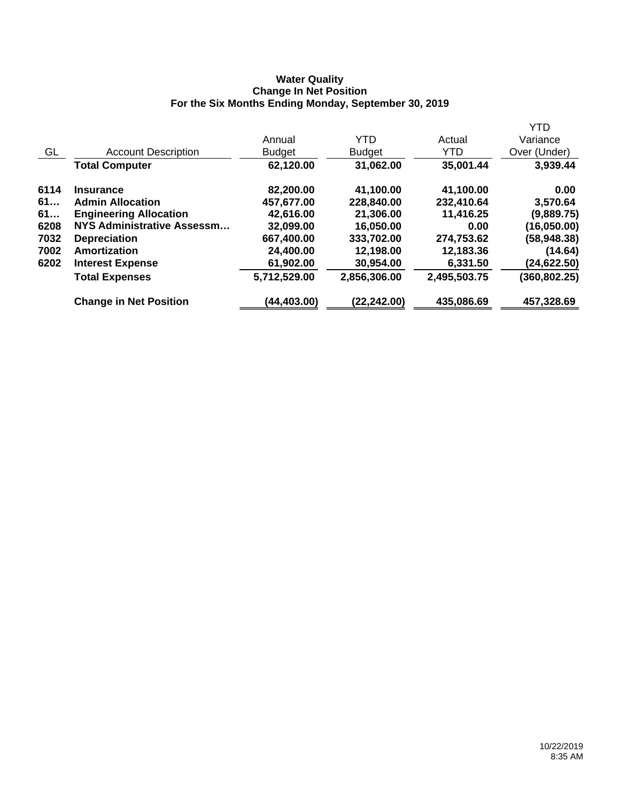### **Water Quality Change In Net Position For the Six Months Ending Monday, September 30, 2019**

|      |                               |               |               |              | <b>YTD</b>    |
|------|-------------------------------|---------------|---------------|--------------|---------------|
|      |                               | Annual        | <b>YTD</b>    | Actual       | Variance      |
| GL   | <b>Account Description</b>    | <b>Budget</b> | <b>Budget</b> | <b>YTD</b>   | Over (Under)  |
|      | <b>Total Computer</b>         | 62,120.00     | 31,062.00     | 35,001.44    | 3,939.44      |
| 6114 | <b>Insurance</b>              | 82,200.00     | 41,100.00     | 41,100.00    | 0.00          |
| 61   | <b>Admin Allocation</b>       | 457,677.00    | 228,840.00    | 232,410.64   | 3,570.64      |
| 61   | <b>Engineering Allocation</b> | 42,616.00     | 21,306.00     | 11,416.25    | (9,889.75)    |
| 6208 | NYS Administrative Assessm    | 32,099.00     | 16,050.00     | 0.00         | (16,050.00)   |
| 7032 | <b>Depreciation</b>           | 667,400.00    | 333,702.00    | 274,753.62   | (58, 948.38)  |
| 7002 | Amortization                  | 24,400.00     | 12,198.00     | 12,183.36    | (14.64)       |
| 6202 | <b>Interest Expense</b>       | 61,902.00     | 30,954.00     | 6,331.50     | (24,622.50)   |
|      | <b>Total Expenses</b>         | 5,712,529.00  | 2,856,306.00  | 2,495,503.75 | (360, 802.25) |
|      | <b>Change in Net Position</b> | (44,403.00)   | (22.242.00)   | 435,086.69   | 457,328.69    |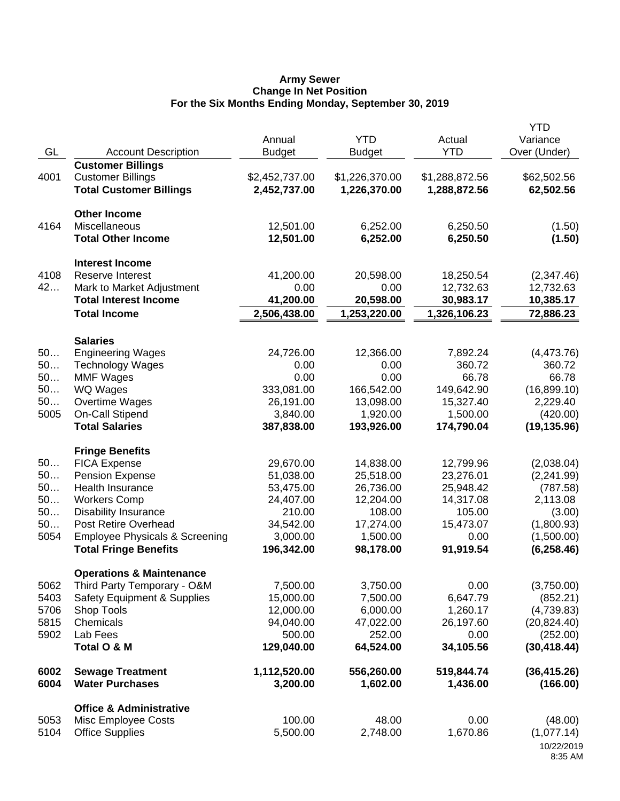#### **Army Sewer Change In Net Position For the Six Months Ending Monday, September 30, 2019**

|          |                                                    | Annual              | <b>YTD</b>          | Actual              | <b>YTD</b><br>Variance |
|----------|----------------------------------------------------|---------------------|---------------------|---------------------|------------------------|
| GL       | <b>Account Description</b>                         | <b>Budget</b>       | <b>Budget</b>       | <b>YTD</b>          | Over (Under)           |
|          | <b>Customer Billings</b>                           |                     |                     |                     |                        |
| 4001     | <b>Customer Billings</b>                           | \$2,452,737.00      | \$1,226,370.00      | \$1,288,872.56      | \$62,502.56            |
|          | <b>Total Customer Billings</b>                     | 2,452,737.00        | 1,226,370.00        | 1,288,872.56        | 62,502.56              |
|          | <b>Other Income</b>                                |                     |                     |                     |                        |
| 4164     | Miscellaneous                                      | 12,501.00           | 6,252.00            | 6,250.50            | (1.50)                 |
|          | <b>Total Other Income</b>                          | 12,501.00           | 6,252.00            | 6,250.50            | (1.50)                 |
|          | <b>Interest Income</b>                             |                     |                     |                     |                        |
| 4108     | <b>Reserve Interest</b>                            | 41,200.00           | 20,598.00           | 18,250.54           | (2,347.46)             |
| 42       | Mark to Market Adjustment                          | 0.00                | 0.00                | 12,732.63           | 12,732.63              |
|          | <b>Total Interest Income</b>                       | 41,200.00           | 20,598.00           | 30,983.17           | 10,385.17              |
|          | <b>Total Income</b>                                | 2,506,438.00        | 1,253,220.00        | 1,326,106.23        | 72,886.23              |
|          | <b>Salaries</b>                                    |                     |                     |                     |                        |
| 50       | <b>Engineering Wages</b>                           | 24,726.00           | 12,366.00           | 7,892.24            | (4,473.76)             |
| 50       | <b>Technology Wages</b>                            | 0.00                | 0.00                | 360.72              | 360.72                 |
| 50       | <b>MMF Wages</b>                                   | 0.00                | 0.00                | 66.78               | 66.78                  |
| 50       | <b>WQ Wages</b>                                    | 333,081.00          | 166,542.00          | 149,642.90          | (16,899.10)            |
| 50       | Overtime Wages                                     | 26,191.00           | 13,098.00           | 15,327.40           | 2,229.40               |
| 5005     | <b>On-Call Stipend</b><br><b>Total Salaries</b>    | 3,840.00            | 1,920.00            | 1,500.00            | (420.00)               |
|          |                                                    | 387,838.00          | 193,926.00          | 174,790.04          | (19, 135.96)           |
|          | <b>Fringe Benefits</b>                             |                     |                     |                     |                        |
| 50       | <b>FICA Expense</b>                                | 29,670.00           | 14,838.00           | 12,799.96           | (2,038.04)             |
| 50       | <b>Pension Expense</b>                             | 51,038.00           | 25,518.00           | 23,276.01           | (2,241.99)             |
| 50<br>50 | Health Insurance                                   | 53,475.00           | 26,736.00           | 25,948.42           | (787.58)               |
| 50       | <b>Workers Comp</b><br><b>Disability Insurance</b> | 24,407.00<br>210.00 | 12,204.00<br>108.00 | 14,317.08<br>105.00 | 2,113.08               |
| 50       | Post Retire Overhead                               | 34,542.00           | 17,274.00           | 15,473.07           | (3.00)<br>(1,800.93)   |
| 5054     | <b>Employee Physicals &amp; Screening</b>          | 3,000.00            | 1,500.00            | 0.00                | (1,500.00)             |
|          | <b>Total Fringe Benefits</b>                       | 196,342.00          | 98,178.00           | 91,919.54           | (6, 258.46)            |
|          | <b>Operations &amp; Maintenance</b>                |                     |                     |                     |                        |
| 5062     | Third Party Temporary - O&M                        | 7,500.00            | 3,750.00            | 0.00                | (3,750.00)             |
| 5403     | <b>Safety Equipment &amp; Supplies</b>             | 15,000.00           | 7,500.00            | 6,647.79            | (852.21)               |
| 5706     | Shop Tools                                         | 12,000.00           | 6,000.00            | 1,260.17            | (4,739.83)             |
| 5815     | Chemicals                                          | 94,040.00           | 47,022.00           | 26,197.60           | (20, 824.40)           |
| 5902     | Lab Fees                                           | 500.00              | 252.00              | 0.00                | (252.00)               |
|          | Total O & M                                        | 129,040.00          | 64,524.00           | 34,105.56           | (30, 418.44)           |
| 6002     | <b>Sewage Treatment</b>                            | 1,112,520.00        | 556,260.00          | 519,844.74          | (36, 415.26)           |
| 6004     | <b>Water Purchases</b>                             | 3,200.00            | 1,602.00            | 1,436.00            | (166.00)               |
|          | <b>Office &amp; Administrative</b>                 |                     |                     |                     |                        |
| 5053     | Misc Employee Costs                                | 100.00              | 48.00               | 0.00                | (48.00)                |
| 5104     | <b>Office Supplies</b>                             | 5,500.00            | 2,748.00            | 1,670.86            | (1,077.14)             |
|          |                                                    |                     |                     |                     | 10/22/2019<br>8:35 AM  |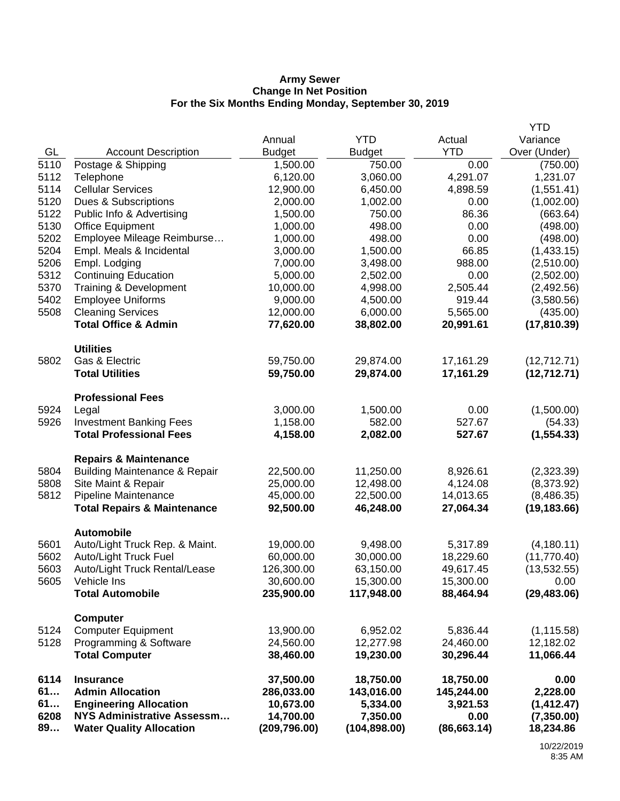#### **Army Sewer Change In Net Position For the Six Months Ending Monday, September 30, 2019**

|            |                                             |                         |                         |                         | <b>YTD</b>       |
|------------|---------------------------------------------|-------------------------|-------------------------|-------------------------|------------------|
|            |                                             | Annual                  | <b>YTD</b>              | Actual                  | Variance         |
| GL         | <b>Account Description</b>                  | <b>Budget</b>           | <b>Budget</b>           | <b>YTD</b>              | Over (Under)     |
| 5110       | Postage & Shipping                          | 1,500.00                | 750.00                  | 0.00                    | (750.00)         |
| 5112       | Telephone                                   | 6,120.00                | 3,060.00                | 4,291.07                | 1,231.07         |
| 5114       | <b>Cellular Services</b>                    | 12,900.00               | 6,450.00                | 4,898.59                | (1,551.41)       |
| 5120       | Dues & Subscriptions                        | 2,000.00                | 1,002.00                | 0.00                    | (1,002.00)       |
| 5122       | Public Info & Advertising                   | 1,500.00                | 750.00                  | 86.36                   | (663.64)         |
| 5130       | <b>Office Equipment</b>                     | 1,000.00                | 498.00                  | 0.00                    | (498.00)         |
| 5202       | Employee Mileage Reimburse                  | 1,000.00                | 498.00                  | 0.00                    | (498.00)         |
| 5204       | Empl. Meals & Incidental                    | 3,000.00                | 1,500.00                | 66.85                   | (1,433.15)       |
| 5206       | Empl. Lodging                               | 7,000.00                | 3,498.00                | 988.00                  | (2,510.00)       |
| 5312       | <b>Continuing Education</b>                 | 5,000.00                | 2,502.00                | 0.00                    | (2,502.00)       |
| 5370       | Training & Development                      | 10,000.00               | 4,998.00                | 2,505.44                | (2,492.56)       |
| 5402       | <b>Employee Uniforms</b>                    | 9,000.00                | 4,500.00                | 919.44                  | (3,580.56)       |
| 5508       | <b>Cleaning Services</b>                    | 12,000.00               | 6,000.00                | 5,565.00                | (435.00)         |
|            | <b>Total Office &amp; Admin</b>             | 77,620.00               | 38,802.00               | 20,991.61               | (17, 810.39)     |
|            | <b>Utilities</b>                            |                         |                         |                         |                  |
| 5802       | Gas & Electric                              | 59,750.00               | 29,874.00               | 17,161.29               | (12,712.71)      |
|            | <b>Total Utilities</b>                      | 59,750.00               | 29,874.00               | 17,161.29               | (12, 712.71)     |
|            |                                             |                         |                         |                         |                  |
|            | <b>Professional Fees</b>                    |                         |                         |                         |                  |
| 5924       | Legal                                       | 3,000.00                | 1,500.00                | 0.00                    | (1,500.00)       |
| 5926       | <b>Investment Banking Fees</b>              | 1,158.00                | 582.00                  | 527.67                  | (54.33)          |
|            | <b>Total Professional Fees</b>              | 4,158.00                | 2,082.00                | 527.67                  | (1, 554.33)      |
|            | <b>Repairs &amp; Maintenance</b>            |                         |                         |                         |                  |
| 5804       | <b>Building Maintenance &amp; Repair</b>    | 22,500.00               | 11,250.00               | 8,926.61                | (2,323.39)       |
| 5808       | Site Maint & Repair                         | 25,000.00               | 12,498.00               | 4,124.08                | (8,373.92)       |
| 5812       | Pipeline Maintenance                        | 45,000.00               | 22,500.00               | 14,013.65               | (8,486.35)       |
|            | <b>Total Repairs &amp; Maintenance</b>      | 92,500.00               | 46,248.00               | 27,064.34               | (19, 183.66)     |
|            | <b>Automobile</b>                           |                         |                         |                         |                  |
| 5601       | Auto/Light Truck Rep. & Maint.              | 19,000.00               | 9,498.00                | 5,317.89                | (4, 180.11)      |
| 5602       | Auto/Light Truck Fuel                       | 60,000.00               | 30,000.00               | 18,229.60               | (11,770.40)      |
| 5603       | Auto/Light Truck Rental/Lease               | 126,300.00              | 63,150.00               | 49,617.45               | (13,532.55)      |
| 5605       | Vehicle Ins                                 | 30,600.00               | 15,300.00               | 15,300.00               | 0.00             |
|            | <b>Total Automobile</b>                     | 235,900.00              | 117,948.00              | 88,464.94               | (29, 483.06)     |
|            | <b>Computer</b>                             |                         |                         |                         |                  |
| 5124       | <b>Computer Equipment</b>                   | 13,900.00               | 6,952.02                | 5,836.44                | (1, 115.58)      |
| 5128       | Programming & Software                      | 24,560.00               | 12,277.98               | 24,460.00               | 12,182.02        |
|            | <b>Total Computer</b>                       | 38,460.00               | 19,230.00               | 30,296.44               | 11,066.44        |
|            |                                             |                         |                         |                         |                  |
| 6114<br>61 | <b>Insurance</b><br><b>Admin Allocation</b> | 37,500.00<br>286,033.00 | 18,750.00<br>143,016.00 | 18,750.00<br>145,244.00 | 0.00<br>2,228.00 |
| 61         | <b>Engineering Allocation</b>               | 10,673.00               | 5,334.00                | 3,921.53                | (1, 412.47)      |
| 6208       | <b>NYS Administrative Assessm</b>           | 14,700.00               | 7,350.00                | 0.00                    | (7,350.00)       |
| 89         | <b>Water Quality Allocation</b>             | (209, 796.00)           | (104, 898.00)           | (86, 663.14)            | 18,234.86        |
|            |                                             |                         |                         |                         |                  |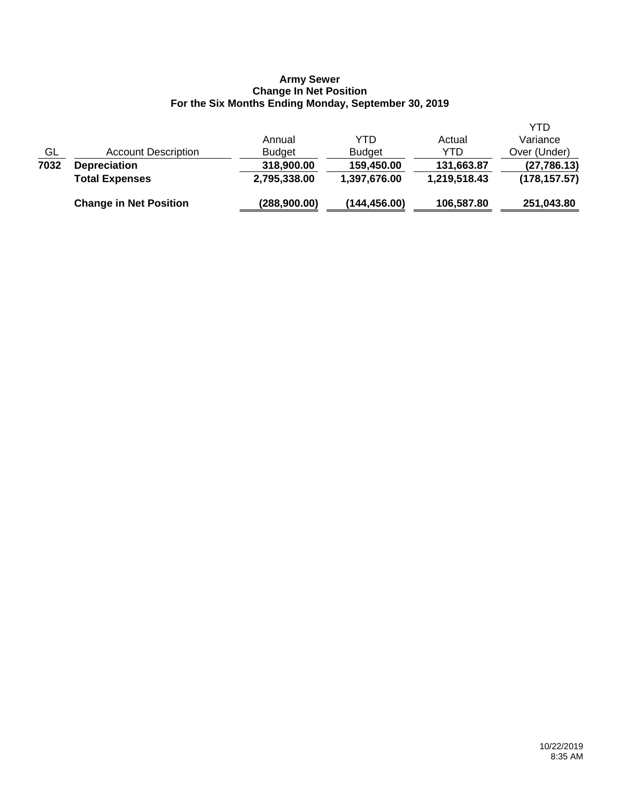#### **Army Sewer Change In Net Position For the Six Months Ending Monday, September 30, 2019**

|           | <b>Change in Net Position</b> | (288,900.00)  | (144, 456.00) | 106,587.80   | 251,043.80    |
|-----------|-------------------------------|---------------|---------------|--------------|---------------|
|           | <b>Total Expenses</b>         | 2,795,338.00  | 1,397,676.00  | 1,219,518.43 | (178, 157.57) |
| 7032      | <b>Depreciation</b>           | 318,900.00    | 159,450.00    | 131,663.87   | (27, 786.13)  |
| <u>GL</u> | <b>Account Description</b>    | <b>Budget</b> | <b>Budget</b> | YTD          | Over (Under)  |
|           |                               | Annual        | YTD           | Actual       | Variance      |
|           |                               |               |               |              | YTD           |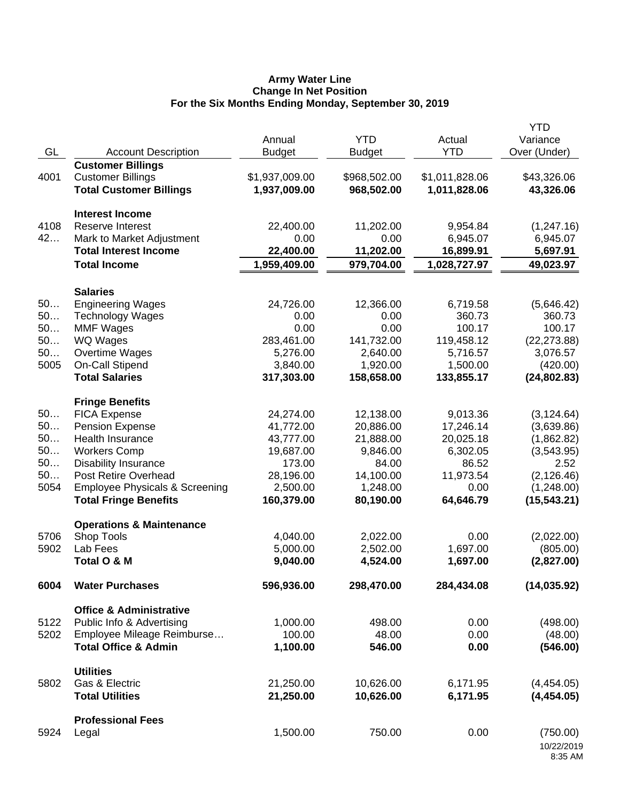#### **Army Water Line Change In Net Position For the Six Months Ending Monday, September 30, 2019**

|      |                                           |                |               |                | <b>YTD</b>            |
|------|-------------------------------------------|----------------|---------------|----------------|-----------------------|
|      |                                           | Annual         | <b>YTD</b>    | Actual         | Variance              |
| GL   | <b>Account Description</b>                | <b>Budget</b>  | <b>Budget</b> | <b>YTD</b>     | Over (Under)          |
|      | <b>Customer Billings</b>                  |                |               |                |                       |
| 4001 | <b>Customer Billings</b>                  | \$1,937,009.00 | \$968,502.00  | \$1,011,828.06 | \$43,326.06           |
|      | <b>Total Customer Billings</b>            | 1,937,009.00   | 968,502.00    | 1,011,828.06   | 43,326.06             |
|      | <b>Interest Income</b>                    |                |               |                |                       |
| 4108 | Reserve Interest                          | 22,400.00      | 11,202.00     | 9,954.84       | (1, 247.16)           |
| 42   | Mark to Market Adjustment                 | 0.00           | 0.00          | 6,945.07       | 6,945.07              |
|      | <b>Total Interest Income</b>              | 22,400.00      | 11,202.00     | 16,899.91      | 5,697.91              |
|      | <b>Total Income</b>                       | 1,959,409.00   | 979,704.00    | 1,028,727.97   | 49,023.97             |
|      | <b>Salaries</b>                           |                |               |                |                       |
| 50   | <b>Engineering Wages</b>                  | 24,726.00      | 12,366.00     | 6,719.58       | (5,646.42)            |
| 50   | <b>Technology Wages</b>                   | 0.00           | 0.00          | 360.73         | 360.73                |
| 50   | <b>MMF Wages</b>                          | 0.00           | 0.00          | 100.17         | 100.17                |
| 50   | <b>WQ Wages</b>                           | 283,461.00     | 141,732.00    | 119,458.12     | (22, 273.88)          |
| 50   | Overtime Wages                            | 5,276.00       | 2,640.00      | 5,716.57       | 3,076.57              |
| 5005 | On-Call Stipend                           | 3,840.00       | 1,920.00      | 1,500.00       | (420.00)              |
|      | <b>Total Salaries</b>                     | 317,303.00     | 158,658.00    | 133,855.17     | (24, 802.83)          |
|      | <b>Fringe Benefits</b>                    |                |               |                |                       |
| 50   | <b>FICA Expense</b>                       | 24,274.00      | 12,138.00     | 9,013.36       | (3, 124.64)           |
| 50   | <b>Pension Expense</b>                    | 41,772.00      | 20,886.00     | 17,246.14      | (3,639.86)            |
| 50   | Health Insurance                          | 43,777.00      | 21,888.00     | 20,025.18      | (1,862.82)            |
| 50   | <b>Workers Comp</b>                       | 19,687.00      | 9,846.00      | 6,302.05       | (3,543.95)            |
| 50   | <b>Disability Insurance</b>               | 173.00         | 84.00         | 86.52          | 2.52                  |
| 50   | <b>Post Retire Overhead</b>               | 28,196.00      | 14,100.00     | 11,973.54      | (2, 126.46)           |
| 5054 | <b>Employee Physicals &amp; Screening</b> | 2,500.00       | 1,248.00      | 0.00           | (1,248.00)            |
|      | <b>Total Fringe Benefits</b>              | 160,379.00     | 80,190.00     | 64,646.79      | (15, 543.21)          |
|      | <b>Operations &amp; Maintenance</b>       |                |               |                |                       |
| 5706 | Shop Tools                                | 4,040.00       | 2,022.00      | 0.00           | (2,022.00)            |
| 5902 | Lab Fees                                  | 5,000.00       | 2,502.00      | 1,697.00       | (805.00)              |
|      | Total O & M                               | 9,040.00       | 4,524.00      | 1,697.00       | (2,827.00)            |
| 6004 | <b>Water Purchases</b>                    | 596,936.00     | 298,470.00    | 284,434.08     | (14, 035.92)          |
|      | <b>Office &amp; Administrative</b>        |                |               |                |                       |
| 5122 | Public Info & Advertising                 | 1,000.00       | 498.00        | 0.00           | (498.00)              |
| 5202 | Employee Mileage Reimburse                | 100.00         | 48.00         | 0.00           | (48.00)               |
|      | <b>Total Office &amp; Admin</b>           | 1,100.00       | 546.00        | 0.00           | (546.00)              |
|      | <b>Utilities</b>                          |                |               |                |                       |
| 5802 | Gas & Electric                            | 21,250.00      | 10,626.00     | 6,171.95       | (4,454.05)            |
|      | <b>Total Utilities</b>                    | 21,250.00      | 10,626.00     | 6,171.95       | (4,454.05)            |
|      |                                           |                |               |                |                       |
|      | <b>Professional Fees</b>                  |                |               |                |                       |
| 5924 | Legal                                     | 1,500.00       | 750.00        | 0.00           | (750.00)              |
|      |                                           |                |               |                | 10/22/2019<br>8:35 AM |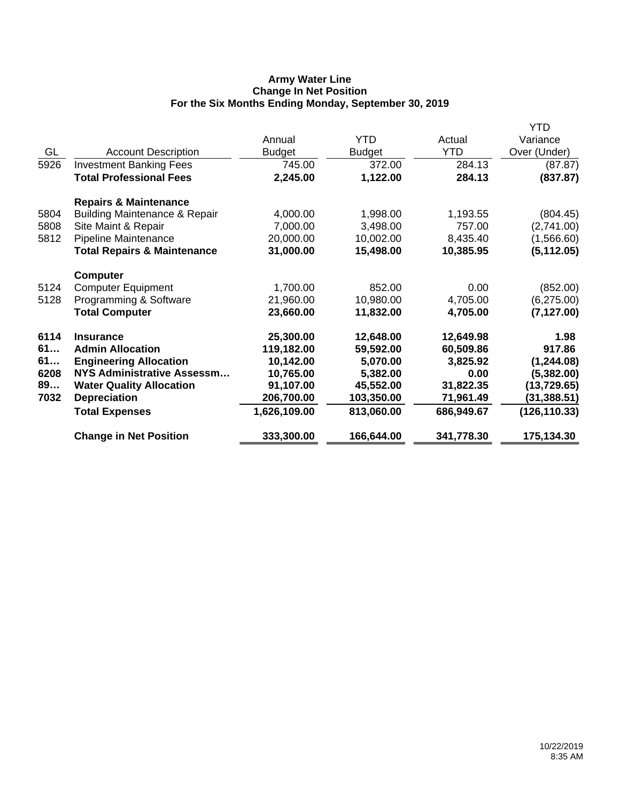## **Army Water Line Change In Net Position For the Six Months Ending Monday, September 30, 2019**

|      |                                          |               |               |            | <b>YTD</b>    |
|------|------------------------------------------|---------------|---------------|------------|---------------|
|      |                                          | Annual        | <b>YTD</b>    | Actual     | Variance      |
| GL   | <b>Account Description</b>               | <b>Budget</b> | <b>Budget</b> | <b>YTD</b> | Over (Under)  |
| 5926 | <b>Investment Banking Fees</b>           | 745.00        | 372.00        | 284.13     | (87.87)       |
|      | <b>Total Professional Fees</b>           | 2,245.00      | 1,122.00      | 284.13     | (837.87)      |
|      | <b>Repairs &amp; Maintenance</b>         |               |               |            |               |
| 5804 | <b>Building Maintenance &amp; Repair</b> | 4,000.00      | 1,998.00      | 1,193.55   | (804.45)      |
| 5808 | Site Maint & Repair                      | 7,000.00      | 3,498.00      | 757.00     | (2,741.00)    |
| 5812 | Pipeline Maintenance                     | 20,000.00     | 10,002.00     | 8,435.40   | (1,566.60)    |
|      | <b>Total Repairs &amp; Maintenance</b>   | 31,000.00     | 15,498.00     | 10,385.95  | (5, 112.05)   |
|      | <b>Computer</b>                          |               |               |            |               |
| 5124 | <b>Computer Equipment</b>                | 1,700.00      | 852.00        | 0.00       | (852.00)      |
| 5128 | Programming & Software                   | 21,960.00     | 10,980.00     | 4,705.00   | (6, 275.00)   |
|      | <b>Total Computer</b>                    | 23,660.00     | 11,832.00     | 4,705.00   | (7, 127.00)   |
| 6114 | <b>Insurance</b>                         | 25,300.00     | 12,648.00     | 12,649.98  | 1.98          |
| 61   | <b>Admin Allocation</b>                  | 119,182.00    | 59,592.00     | 60,509.86  | 917.86        |
| 61   | <b>Engineering Allocation</b>            | 10,142.00     | 5,070.00      | 3,825.92   | (1, 244.08)   |
| 6208 | <b>NYS Administrative Assessm</b>        | 10,765.00     | 5,382.00      | 0.00       | (5,382.00)    |
| 89   | <b>Water Quality Allocation</b>          | 91,107.00     | 45,552.00     | 31,822.35  | (13, 729.65)  |
| 7032 | <b>Depreciation</b>                      | 206,700.00    | 103,350.00    | 71,961.49  | (31, 388.51)  |
|      | <b>Total Expenses</b>                    | 1,626,109.00  | 813,060.00    | 686,949.67 | (126, 110.33) |
|      | <b>Change in Net Position</b>            | 333,300.00    | 166,644.00    | 341,778.30 | 175,134.30    |
|      |                                          |               |               |            |               |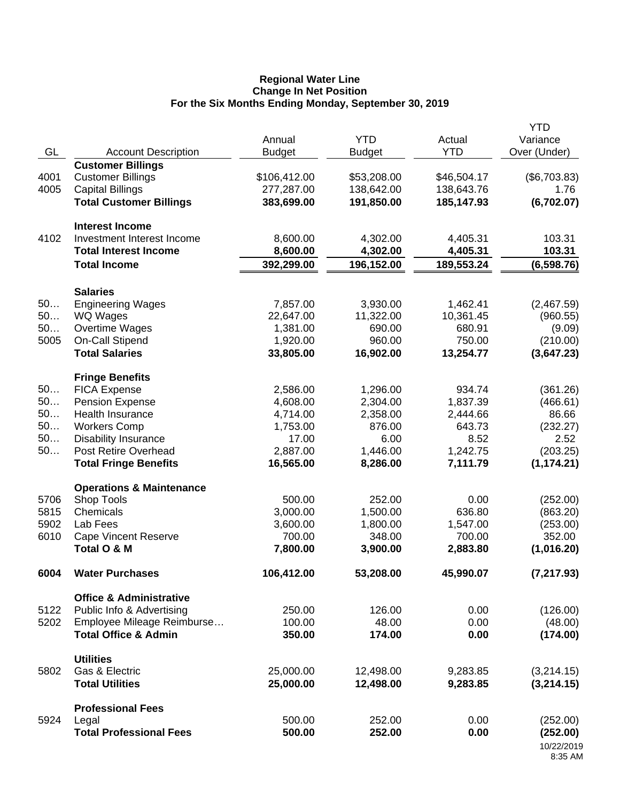#### **Regional Water Line Change In Net Position For the Six Months Ending Monday, September 30, 2019**

|      |                                     |                         | <b>YTD</b>    |                      | <b>YTD</b>               |
|------|-------------------------------------|-------------------------|---------------|----------------------|--------------------------|
| GL   | <b>Account Description</b>          | Annual<br><b>Budget</b> | <b>Budget</b> | Actual<br><b>YTD</b> | Variance<br>Over (Under) |
|      | <b>Customer Billings</b>            |                         |               |                      |                          |
| 4001 | <b>Customer Billings</b>            | \$106,412.00            | \$53,208.00   | \$46,504.17          | (\$6,703.83)             |
| 4005 | <b>Capital Billings</b>             | 277,287.00              | 138,642.00    | 138,643.76           | 1.76                     |
|      | <b>Total Customer Billings</b>      | 383,699.00              | 191,850.00    | 185,147.93           | (6,702.07)               |
|      |                                     |                         |               |                      |                          |
|      | <b>Interest Income</b>              |                         |               |                      |                          |
| 4102 | Investment Interest Income          | 8,600.00                | 4,302.00      | 4,405.31             | 103.31                   |
|      | <b>Total Interest Income</b>        | 8,600.00                | 4,302.00      | 4,405.31             | 103.31                   |
|      | <b>Total Income</b>                 | 392,299.00              | 196,152.00    | 189,553.24           | (6,598.76)               |
|      |                                     |                         |               |                      |                          |
|      | <b>Salaries</b>                     |                         |               |                      |                          |
| 50   | <b>Engineering Wages</b>            | 7,857.00                | 3,930.00      | 1,462.41             | (2,467.59)               |
| 50   | <b>WQ Wages</b>                     | 22,647.00               | 11,322.00     | 10,361.45            | (960.55)                 |
| 50   | Overtime Wages                      | 1,381.00                | 690.00        | 680.91               | (9.09)                   |
| 5005 | On-Call Stipend                     | 1,920.00                | 960.00        | 750.00               | (210.00)                 |
|      | <b>Total Salaries</b>               | 33,805.00               | 16,902.00     | 13,254.77            | (3,647.23)               |
|      | <b>Fringe Benefits</b>              |                         |               |                      |                          |
| 50   | <b>FICA Expense</b>                 | 2,586.00                | 1,296.00      | 934.74               | (361.26)                 |
| 50   | <b>Pension Expense</b>              | 4,608.00                | 2,304.00      | 1,837.39             | (466.61)                 |
| 50   | <b>Health Insurance</b>             | 4,714.00                | 2,358.00      | 2,444.66             | 86.66                    |
| 50   | <b>Workers Comp</b>                 | 1,753.00                | 876.00        | 643.73               | (232.27)                 |
| 50   | <b>Disability Insurance</b>         | 17.00                   | 6.00          | 8.52                 | 2.52                     |
| 50   | Post Retire Overhead                | 2,887.00                | 1,446.00      | 1,242.75             | (203.25)                 |
|      | <b>Total Fringe Benefits</b>        | 16,565.00               | 8,286.00      | 7,111.79             | (1, 174.21)              |
|      | <b>Operations &amp; Maintenance</b> |                         |               |                      |                          |
| 5706 | Shop Tools                          | 500.00                  | 252.00        | 0.00                 | (252.00)                 |
| 5815 | Chemicals                           | 3,000.00                | 1,500.00      | 636.80               | (863.20)                 |
| 5902 | Lab Fees                            | 3,600.00                | 1,800.00      | 1,547.00             | (253.00)                 |
| 6010 | <b>Cape Vincent Reserve</b>         | 700.00                  | 348.00        | 700.00               | 352.00                   |
|      | Total O & M                         | 7,800.00                | 3,900.00      | 2,883.80             | (1,016.20)               |
|      |                                     |                         |               |                      |                          |
| 6004 | <b>Water Purchases</b>              | 106,412.00              | 53,208.00     | 45,990.07            | (7, 217.93)              |
|      | <b>Office &amp; Administrative</b>  |                         |               |                      |                          |
| 5122 | Public Info & Advertising           | 250.00                  | 126.00        | 0.00                 | (126.00)                 |
| 5202 | Employee Mileage Reimburse          | 100.00                  | 48.00         | 0.00                 | (48.00)                  |
|      | <b>Total Office &amp; Admin</b>     | 350.00                  | 174.00        | 0.00                 | (174.00)                 |
|      |                                     |                         |               |                      |                          |
|      | <b>Utilities</b>                    |                         |               |                      |                          |
| 5802 | Gas & Electric                      | 25,000.00               | 12,498.00     | 9,283.85             | (3,214.15)               |
|      | <b>Total Utilities</b>              | 25,000.00               | 12,498.00     | 9,283.85             | (3,214.15)               |
|      | <b>Professional Fees</b>            |                         |               |                      |                          |
| 5924 | Legal                               | 500.00                  | 252.00        | 0.00                 | (252.00)                 |
|      | <b>Total Professional Fees</b>      | 500.00                  | 252.00        | 0.00                 | (252.00)                 |
|      |                                     |                         |               |                      | 10/22/2019               |
|      |                                     |                         |               |                      | 8:35 AM                  |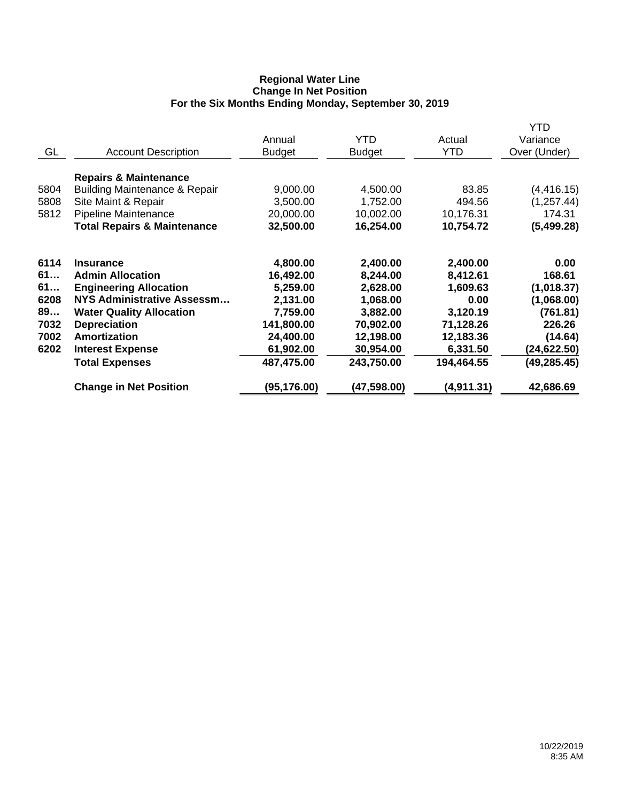## **Regional Water Line Change In Net Position For the Six Months Ending Monday, September 30, 2019**

|      |                                          |               |               |            | <b>YTD</b>   |
|------|------------------------------------------|---------------|---------------|------------|--------------|
|      |                                          | Annual        | YTD           | Actual     | Variance     |
| GL   | <b>Account Description</b>               | <b>Budget</b> | <b>Budget</b> | <b>YTD</b> | Over (Under) |
|      | <b>Repairs &amp; Maintenance</b>         |               |               |            |              |
| 5804 | <b>Building Maintenance &amp; Repair</b> | 9,000.00      | 4,500.00      | 83.85      | (4, 416.15)  |
| 5808 | Site Maint & Repair                      | 3,500.00      | 1,752.00      | 494.56     | (1, 257.44)  |
| 5812 | Pipeline Maintenance                     | 20,000.00     | 10,002.00     | 10,176.31  | 174.31       |
|      | <b>Total Repairs &amp; Maintenance</b>   | 32,500.00     | 16,254.00     | 10,754.72  | (5,499.28)   |
| 6114 | <b>Insurance</b>                         | 4,800.00      | 2,400.00      | 2,400.00   | 0.00         |
| 61   | <b>Admin Allocation</b>                  | 16,492.00     | 8,244.00      | 8,412.61   | 168.61       |
| 61   | <b>Engineering Allocation</b>            | 5,259.00      | 2,628.00      | 1,609.63   | (1,018.37)   |
| 6208 | <b>NYS Administrative Assessm</b>        | 2,131.00      | 1,068.00      | 0.00       | (1,068.00)   |
| 89   | <b>Water Quality Allocation</b>          | 7,759.00      | 3,882.00      | 3,120.19   | (761.81)     |
| 7032 | <b>Depreciation</b>                      | 141,800.00    | 70,902.00     | 71,128.26  | 226.26       |
| 7002 | Amortization                             | 24,400.00     | 12,198.00     | 12,183.36  | (14.64)      |
| 6202 | <b>Interest Expense</b>                  | 61,902.00     | 30,954.00     | 6,331.50   | (24, 622.50) |
|      | <b>Total Expenses</b>                    | 487,475.00    | 243,750.00    | 194,464.55 | (49, 285.45) |
|      | <b>Change in Net Position</b>            | (95, 176.00)  | (47,598.00)   | (4,911.31) | 42,686.69    |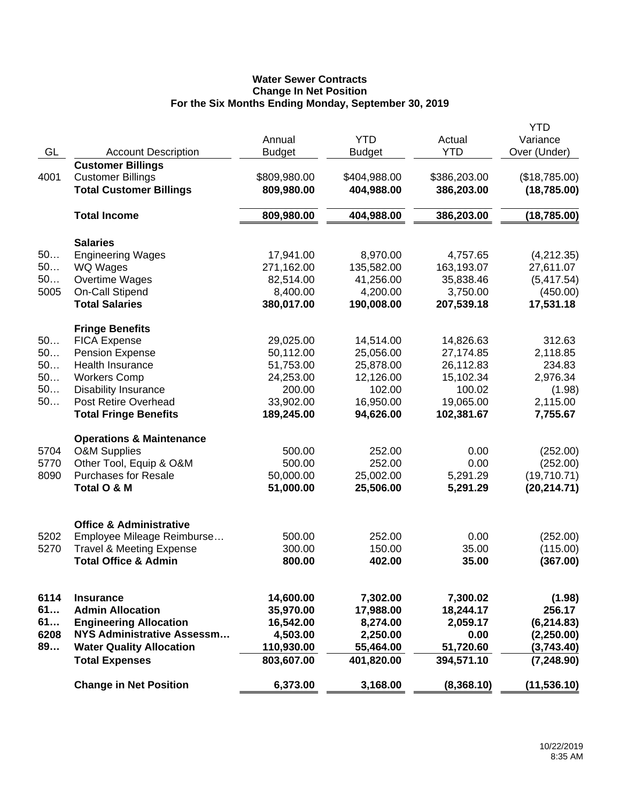# **Water Sewer Contracts Change In Net Position For the Six Months Ending Monday, September 30, 2019**

|      |                                     |               |               |              | <b>YTD</b>    |
|------|-------------------------------------|---------------|---------------|--------------|---------------|
|      |                                     | Annual        | <b>YTD</b>    | Actual       | Variance      |
| GL   | <b>Account Description</b>          | <b>Budget</b> | <b>Budget</b> | <b>YTD</b>   | Over (Under)  |
|      | <b>Customer Billings</b>            |               |               |              |               |
| 4001 | <b>Customer Billings</b>            | \$809,980.00  | \$404,988.00  | \$386,203.00 | (\$18,785.00) |
|      | <b>Total Customer Billings</b>      | 809,980.00    | 404,988.00    | 386,203.00   | (18,785.00)   |
|      |                                     |               |               |              |               |
|      | <b>Total Income</b>                 | 809,980.00    | 404,988.00    | 386,203.00   | (18, 785.00)  |
|      |                                     |               |               |              |               |
|      | <b>Salaries</b>                     |               |               |              |               |
| 50   | <b>Engineering Wages</b>            | 17,941.00     | 8,970.00      | 4,757.65     | (4,212.35)    |
| 50   | <b>WQ Wages</b>                     | 271,162.00    | 135,582.00    | 163,193.07   | 27,611.07     |
| 50   | Overtime Wages                      | 82,514.00     | 41,256.00     | 35,838.46    | (5,417.54)    |
| 5005 |                                     | 8,400.00      | 4,200.00      |              |               |
|      | On-Call Stipend                     |               |               | 3,750.00     | (450.00)      |
|      | <b>Total Salaries</b>               | 380,017.00    | 190,008.00    | 207,539.18   | 17,531.18     |
|      | <b>Fringe Benefits</b>              |               |               |              |               |
| 50   | <b>FICA Expense</b>                 | 29,025.00     | 14,514.00     | 14,826.63    | 312.63        |
| 50   | <b>Pension Expense</b>              | 50,112.00     | 25,056.00     | 27,174.85    | 2,118.85      |
| 50   | <b>Health Insurance</b>             | 51,753.00     | 25,878.00     | 26,112.83    | 234.83        |
| 50   | <b>Workers Comp</b>                 | 24,253.00     | 12,126.00     | 15,102.34    | 2,976.34      |
| 50   | <b>Disability Insurance</b>         | 200.00        | 102.00        | 100.02       | (1.98)        |
| 50   | <b>Post Retire Overhead</b>         | 33,902.00     | 16,950.00     | 19,065.00    | 2,115.00      |
|      |                                     | 189,245.00    | 94,626.00     | 102,381.67   | 7,755.67      |
|      | <b>Total Fringe Benefits</b>        |               |               |              |               |
|      | <b>Operations &amp; Maintenance</b> |               |               |              |               |
| 5704 | <b>O&amp;M Supplies</b>             | 500.00        | 252.00        | 0.00         | (252.00)      |
| 5770 | Other Tool, Equip & O&M             | 500.00        | 252.00        | 0.00         | (252.00)      |
| 8090 | <b>Purchases for Resale</b>         | 50,000.00     | 25,002.00     | 5,291.29     | (19,710.71)   |
|      | Total O & M                         | 51,000.00     | 25,506.00     | 5,291.29     | (20, 214.71)  |
|      |                                     |               |               |              |               |
|      |                                     |               |               |              |               |
|      | <b>Office &amp; Administrative</b>  |               |               |              |               |
| 5202 | Employee Mileage Reimburse          | 500.00        | 252.00        | 0.00         | (252.00)      |
| 5270 | <b>Travel &amp; Meeting Expense</b> | 300.00        | 150.00        | 35.00        | (115.00)      |
|      | <b>Total Office &amp; Admin</b>     | 800.00        | 402.00        | 35.00        | (367.00)      |
|      |                                     |               |               |              |               |
|      |                                     |               |               |              |               |
| 6114 | <b>Insurance</b>                    | 14,600.00     | 7,302.00      | 7,300.02     | (1.98)        |
| 61   | <b>Admin Allocation</b>             | 35,970.00     | 17,988.00     | 18,244.17    | 256.17        |
| 61   | <b>Engineering Allocation</b>       | 16,542.00     | 8,274.00      | 2,059.17     | (6, 214.83)   |
| 6208 | <b>NYS Administrative Assessm</b>   | 4,503.00      | 2,250.00      | 0.00         | (2,250.00)    |
| 89   | <b>Water Quality Allocation</b>     | 110,930.00    | 55,464.00     | 51,720.60    | (3,743.40)    |
|      | <b>Total Expenses</b>               | 803,607.00    | 401,820.00    | 394,571.10   | (7, 248.90)   |
|      | <b>Change in Net Position</b>       | 6,373.00      | 3,168.00      | (8,368.10)   | (11, 536.10)  |
|      |                                     |               |               |              |               |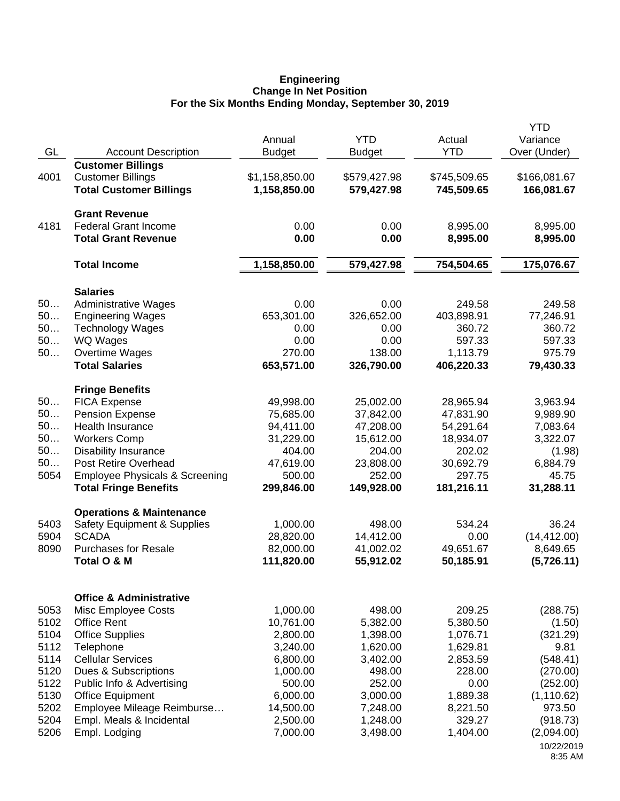#### **Engineering Change In Net Position For the Six Months Ending Monday, September 30, 2019**

|      |                                                                  |                      |                            |                        | <b>YTD</b>       |
|------|------------------------------------------------------------------|----------------------|----------------------------|------------------------|------------------|
|      |                                                                  | Annual               | <b>YTD</b>                 | Actual<br><b>YTD</b>   | Variance         |
| GL   | <b>Account Description</b>                                       | <b>Budget</b>        | <b>Budget</b>              |                        | Over (Under)     |
| 4001 | <b>Customer Billings</b><br><b>Customer Billings</b>             | \$1,158,850.00       |                            | \$745,509.65           | \$166,081.67     |
|      | <b>Total Customer Billings</b>                                   | 1,158,850.00         | \$579,427.98<br>579,427.98 | 745,509.65             | 166,081.67       |
|      |                                                                  |                      |                            |                        |                  |
|      | <b>Grant Revenue</b>                                             |                      |                            |                        |                  |
| 4181 | <b>Federal Grant Income</b>                                      | 0.00                 | 0.00                       | 8,995.00               | 8,995.00         |
|      | <b>Total Grant Revenue</b>                                       | 0.00                 | 0.00                       | 8,995.00               | 8,995.00         |
|      | <b>Total Income</b>                                              | 1,158,850.00         | 579,427.98                 | 754,504.65             | 175,076.67       |
|      |                                                                  |                      |                            |                        |                  |
|      | <b>Salaries</b>                                                  |                      |                            |                        |                  |
| 50   | <b>Administrative Wages</b>                                      | 0.00                 | 0.00                       | 249.58                 | 249.58           |
| 50   | <b>Engineering Wages</b>                                         | 653,301.00           | 326,652.00                 | 403,898.91             | 77,246.91        |
| 50   | <b>Technology Wages</b>                                          | 0.00                 | 0.00                       | 360.72                 | 360.72           |
| 50   | WQ Wages                                                         | 0.00                 | 0.00                       | 597.33                 | 597.33<br>975.79 |
| 50   | Overtime Wages<br><b>Total Salaries</b>                          | 270.00<br>653,571.00 | 138.00                     | 1,113.79<br>406,220.33 | 79,430.33        |
|      |                                                                  |                      | 326,790.00                 |                        |                  |
|      | <b>Fringe Benefits</b>                                           |                      |                            |                        |                  |
| 50   | <b>FICA Expense</b>                                              | 49,998.00            | 25,002.00                  | 28,965.94              | 3,963.94         |
| 50   | <b>Pension Expense</b>                                           | 75,685.00            | 37,842.00                  | 47,831.90              | 9,989.90         |
| 50   | <b>Health Insurance</b>                                          | 94,411.00            | 47,208.00                  | 54,291.64              | 7,083.64         |
| 50   | <b>Workers Comp</b>                                              | 31,229.00            | 15,612.00                  | 18,934.07              | 3,322.07         |
| 50   | <b>Disability Insurance</b>                                      | 404.00               | 204.00                     | 202.02                 | (1.98)           |
| 50   | Post Retire Overhead                                             | 47,619.00            | 23,808.00                  | 30,692.79              | 6,884.79         |
| 5054 | <b>Employee Physicals &amp; Screening</b>                        | 500.00               | 252.00                     | 297.75                 | 45.75            |
|      | <b>Total Fringe Benefits</b>                                     | 299,846.00           | 149,928.00                 | 181,216.11             | 31,288.11        |
|      | <b>Operations &amp; Maintenance</b>                              |                      |                            |                        |                  |
| 5403 | <b>Safety Equipment &amp; Supplies</b>                           | 1,000.00             | 498.00                     | 534.24                 | 36.24            |
| 5904 | <b>SCADA</b>                                                     | 28,820.00            | 14,412.00                  | 0.00                   | (14, 412.00)     |
| 8090 | <b>Purchases for Resale</b>                                      | 82,000.00            | 41,002.02                  | 49,651.67              | 8,649.65         |
|      | Total O & M                                                      | 111,820.00           | 55,912.02                  | 50,185.91              | (5,726.11)       |
|      |                                                                  |                      |                            |                        |                  |
| 5053 | <b>Office &amp; Administrative</b><br><b>Misc Employee Costs</b> | 1,000.00             | 498.00                     | 209.25                 | (288.75)         |
| 5102 | <b>Office Rent</b>                                               | 10,761.00            | 5,382.00                   | 5,380.50               | (1.50)           |
| 5104 | <b>Office Supplies</b>                                           | 2,800.00             | 1,398.00                   | 1,076.71               | (321.29)         |
| 5112 | Telephone                                                        | 3,240.00             | 1,620.00                   | 1,629.81               | 9.81             |
| 5114 | <b>Cellular Services</b>                                         | 6,800.00             | 3,402.00                   | 2,853.59               | (548.41)         |
| 5120 | Dues & Subscriptions                                             | 1,000.00             | 498.00                     | 228.00                 | (270.00)         |
| 5122 | Public Info & Advertising                                        | 500.00               | 252.00                     | 0.00                   | (252.00)         |
| 5130 | <b>Office Equipment</b>                                          | 6,000.00             | 3,000.00                   | 1,889.38               | (1, 110.62)      |
| 5202 | Employee Mileage Reimburse                                       | 14,500.00            | 7,248.00                   | 8,221.50               | 973.50           |
| 5204 | Empl. Meals & Incidental                                         | 2,500.00             | 1,248.00                   | 329.27                 | (918.73)         |
| 5206 | Empl. Lodging                                                    | 7,000.00             | 3,498.00                   | 1,404.00               | (2,094.00)       |
|      |                                                                  |                      |                            |                        | 10/22/2019       |
|      |                                                                  |                      |                            |                        | 8:35 AM          |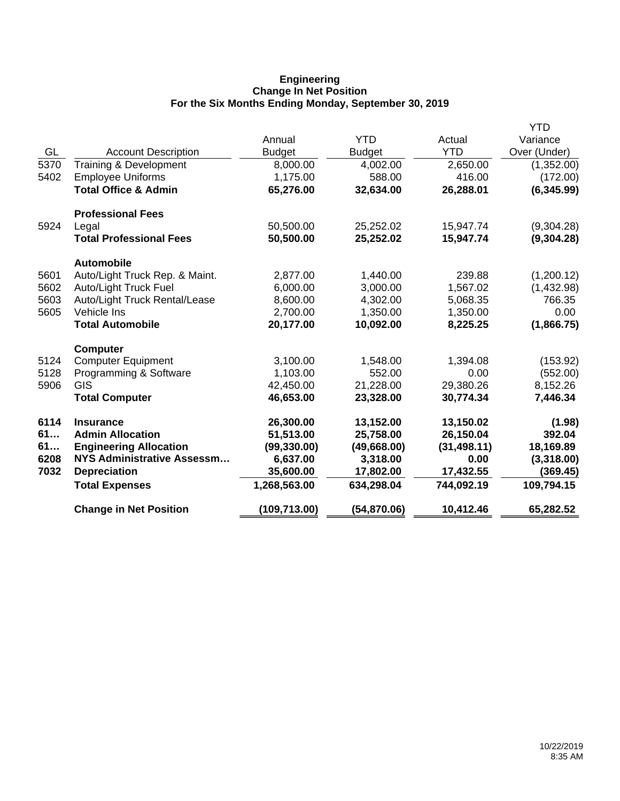## **Engineering Change In Net Position For the Six Months Ending Monday, September 30, 2019**

|      |                                 |               |               |              | YTD          |
|------|---------------------------------|---------------|---------------|--------------|--------------|
|      |                                 | Annual        | <b>YTD</b>    | Actual       | Variance     |
| GL   | <b>Account Description</b>      | <b>Budget</b> | <b>Budget</b> | <b>YTD</b>   | Over (Under) |
| 5370 | Training & Development          | 8,000.00      | 4,002.00      | 2,650.00     | (1,352.00)   |
| 5402 | <b>Employee Uniforms</b>        | 1,175.00      | 588.00        | 416.00       | (172.00)     |
|      | <b>Total Office &amp; Admin</b> | 65,276.00     | 32,634.00     | 26,288.01    | (6,345.99)   |
|      | <b>Professional Fees</b>        |               |               |              |              |
| 5924 | Legal                           | 50,500.00     | 25,252.02     | 15,947.74    | (9,304.28)   |
|      | <b>Total Professional Fees</b>  | 50,500.00     | 25,252.02     | 15,947.74    | (9,304.28)   |
|      | <b>Automobile</b>               |               |               |              |              |
| 5601 | Auto/Light Truck Rep. & Maint.  | 2,877.00      | 1,440.00      | 239.88       | (1,200.12)   |
| 5602 | <b>Auto/Light Truck Fuel</b>    | 6,000.00      | 3,000.00      | 1,567.02     | (1,432.98)   |
| 5603 | Auto/Light Truck Rental/Lease   | 8,600.00      | 4,302.00      | 5,068.35     | 766.35       |
| 5605 | Vehicle Ins                     | 2,700.00      | 1,350.00      | 1,350.00     | 0.00         |
|      | <b>Total Automobile</b>         | 20,177.00     | 10,092.00     | 8,225.25     | (1,866.75)   |
|      | <b>Computer</b>                 |               |               |              |              |
| 5124 | <b>Computer Equipment</b>       | 3,100.00      | 1,548.00      | 1,394.08     | (153.92)     |
| 5128 | Programming & Software          | 1,103.00      | 552.00        | 0.00         | (552.00)     |
| 5906 | GIS                             | 42,450.00     | 21,228.00     | 29,380.26    | 8,152.26     |
|      | <b>Total Computer</b>           | 46,653.00     | 23,328.00     | 30,774.34    | 7,446.34     |
| 6114 | <b>Insurance</b>                | 26,300.00     | 13,152.00     | 13,150.02    | (1.98)       |
| 61   | <b>Admin Allocation</b>         | 51,513.00     | 25,758.00     | 26,150.04    | 392.04       |
| 61   | <b>Engineering Allocation</b>   | (99, 330.00)  | (49,668.00)   | (31, 498.11) | 18,169.89    |
| 6208 | NYS Administrative Assessm      | 6,637.00      | 3,318.00      | 0.00         | (3,318.00)   |
| 7032 | <b>Depreciation</b>             | 35,600.00     | 17,802.00     | 17,432.55    | (369.45)     |
|      | <b>Total Expenses</b>           | 1,268,563.00  | 634,298.04    | 744,092.19   | 109,794.15   |
|      | <b>Change in Net Position</b>   | (109, 713.00) | (54, 870.06)  | 10,412.46    | 65,282.52    |
|      |                                 |               |               |              |              |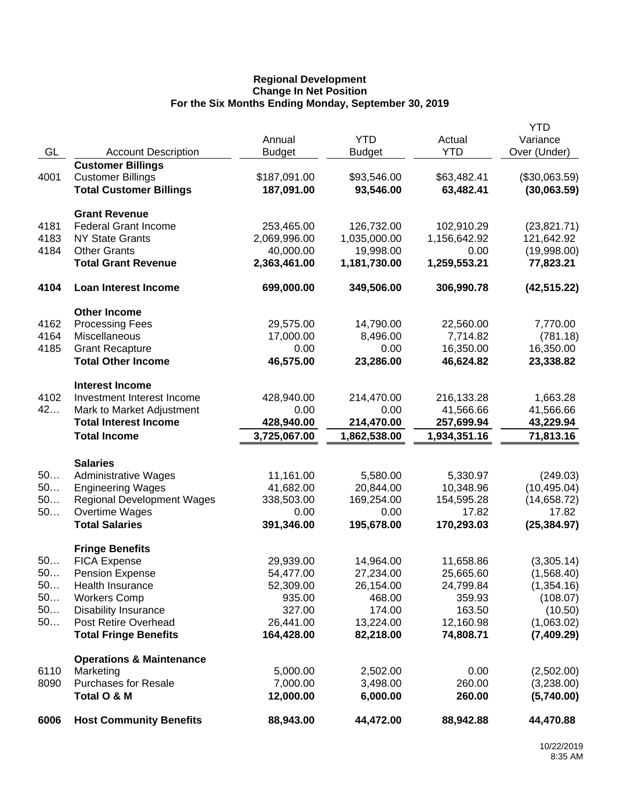## **Regional Development Change In Net Position For the Six Months Ending Monday, September 30, 2019**

|      |                                     |               |               |              | <b>YTD</b>    |
|------|-------------------------------------|---------------|---------------|--------------|---------------|
|      |                                     | Annual        | <b>YTD</b>    | Actual       | Variance      |
| GL   | <b>Account Description</b>          | <b>Budget</b> | <b>Budget</b> | <b>YTD</b>   | Over (Under)  |
|      | <b>Customer Billings</b>            |               |               |              |               |
| 4001 | <b>Customer Billings</b>            | \$187,091.00  | \$93,546.00   | \$63,482.41  | (\$30,063.59) |
|      | <b>Total Customer Billings</b>      | 187,091.00    | 93,546.00     | 63,482.41    | (30,063.59)   |
|      | <b>Grant Revenue</b>                |               |               |              |               |
| 4181 | <b>Federal Grant Income</b>         | 253,465.00    | 126,732.00    | 102,910.29   | (23,821.71)   |
| 4183 | <b>NY State Grants</b>              | 2,069,996.00  | 1,035,000.00  | 1,156,642.92 | 121,642.92    |
| 4184 | <b>Other Grants</b>                 | 40,000.00     | 19,998.00     | 0.00         | (19,998.00)   |
|      | <b>Total Grant Revenue</b>          | 2,363,461.00  | 1,181,730.00  | 1,259,553.21 | 77,823.21     |
| 4104 | <b>Loan Interest Income</b>         | 699,000.00    | 349,506.00    | 306,990.78   | (42, 515.22)  |
|      | <b>Other Income</b>                 |               |               |              |               |
| 4162 | <b>Processing Fees</b>              | 29,575.00     | 14,790.00     | 22,560.00    | 7,770.00      |
| 4164 | Miscellaneous                       | 17,000.00     | 8,496.00      | 7,714.82     | (781.18)      |
| 4185 | <b>Grant Recapture</b>              | 0.00          | 0.00          | 16,350.00    | 16,350.00     |
|      | <b>Total Other Income</b>           | 46,575.00     | 23,286.00     | 46,624.82    | 23,338.82     |
|      | <b>Interest Income</b>              |               |               |              |               |
| 4102 | Investment Interest Income          | 428,940.00    | 214,470.00    | 216,133.28   | 1,663.28      |
| 42   | Mark to Market Adjustment           | 0.00          | 0.00          | 41,566.66    | 41,566.66     |
|      | <b>Total Interest Income</b>        | 428,940.00    | 214,470.00    | 257,699.94   | 43,229.94     |
|      | <b>Total Income</b>                 | 3,725,067.00  | 1,862,538.00  | 1,934,351.16 | 71,813.16     |
|      |                                     |               |               |              |               |
|      | <b>Salaries</b>                     |               |               |              |               |
| 50   | <b>Administrative Wages</b>         | 11,161.00     | 5,580.00      | 5,330.97     | (249.03)      |
| 50   | <b>Engineering Wages</b>            | 41,682.00     | 20,844.00     | 10,348.96    | (10, 495.04)  |
| 50   | <b>Regional Development Wages</b>   | 338,503.00    | 169,254.00    | 154,595.28   | (14,658.72)   |
| 50   | Overtime Wages                      | 0.00          | 0.00          | 17.82        | 17.82         |
|      | <b>Total Salaries</b>               | 391,346.00    | 195,678.00    | 170,293.03   | (25, 384.97)  |
|      | <b>Fringe Benefits</b>              |               |               |              |               |
| 50   | <b>FICA Expense</b>                 | 29,939.00     | 14,964.00     | 11,658.86    | (3,305.14)    |
| 50.  | <b>Pension Expense</b>              | 54,477.00     | 27,234.00     | 25,665.60    | (1,568.40)    |
| 50   | Health Insurance                    | 52,309.00     | 26,154.00     | 24,799.84    | (1,354.16)    |
| 50   | <b>Workers Comp</b>                 | 935.00        | 468.00        | 359.93       | (108.07)      |
| 50   | <b>Disability Insurance</b>         | 327.00        | 174.00        | 163.50       | (10.50)       |
| 50   | Post Retire Overhead                | 26,441.00     | 13,224.00     | 12,160.98    | (1,063.02)    |
|      | <b>Total Fringe Benefits</b>        | 164,428.00    | 82,218.00     | 74,808.71    | (7,409.29)    |
|      |                                     |               |               |              |               |
|      | <b>Operations &amp; Maintenance</b> |               |               |              |               |
| 6110 | Marketing                           | 5,000.00      | 2,502.00      | 0.00         | (2,502.00)    |
| 8090 | Purchases for Resale                | 7,000.00      | 3,498.00      | 260.00       | (3,238.00)    |
|      | Total O & M                         | 12,000.00     | 6,000.00      | 260.00       | (5,740.00)    |